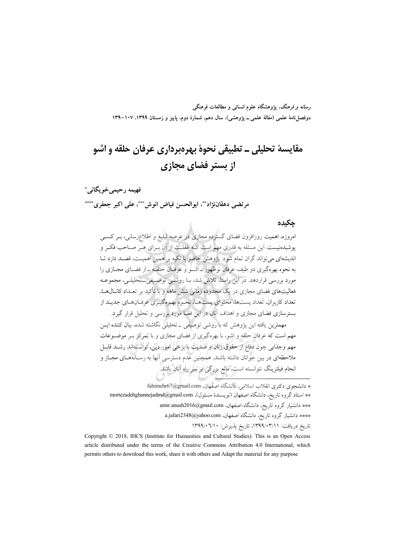*رسانه و فرهنگ*، یژوهشگاه علوم انسان<sub>ی</sub> و مطالعات فرهنگی دوفصلiامهٔ علمی (مقالهٔ علمی ــ پژوهشی)، سال دهم، شمارهٔ دوم، پاییز و زمستان ۱۳۹۹، ۱۰۷–۱۳۹

# مقايسهٔ تحليلي ــ تطبيقي نحوهٔ بهرهبرداري عرفان حلقه و اشو از بستر فضای مجازی

فهيمه رحيمي خويگاني\* مرتضى دهقاننزادڤ، ابوالحسن فياض انوشٌ\*\*، على اكبر جعفريٌ\*\*\*

### حكىدە

امروزه، اهمیت روزافزون فضای گسترده مجازی در عرصه تبلیغ و اطلاعرسانی، بـر کســی یوشیدهنیست. این مسئله به قدری مهم است کـه غفلـت از آن بـرای هـر صـاحب فکـر و اندیشهای می تواند گران تمام شود. یژوهش حاضر با تکیه بر همین اهمیت، قصـد دارد تـا به نحوه بهرهگیری دو طیف عرفان نوظهور \_اشـو و عرفـان حلقـه \_از فضـای مجـازی را مورد بررسی قراردهد. در این راستا، تلاش شد، بـا روشــی توصـیفی\_ـتحلیلــی، مجموعــه فعالیتهای فضای مجازی در یک محدوده زمانی شش ماهه و با تأکید بر تعـداد کانــال۱هــا، تعداد کاربران، تعداد پستها، محتوای پستهما، نحـوه بهـرهگیـری عرفـانهـای جدیـد از بسترسازی فضای مجازی و اهداف آنان در این فضا مورد بررسی و تحلیل قرار گیرد.

.<br>مهمترین یافته این یژوهش که با روشی توصیفی ــ تحلیلی نگاشته شده، بیان کننده ایــن مهم است که عرفان حلقه و اشو، با بهرهگیری از فضای مجازی و با تمرکز بـر موضــوعات مهم وجذابي چون دفاع از حقوق زنان و ضديت با برخي امور دين، توانستهاند رشـد قابـل ملاحظهای در بین جوانان داشته باشند. همچنین عدم دسترسی آنها به رســانههــای مجــاز و انجام فیلترینگ نتوانسته است، مانع بزرگی بر سر راه آنان باشد.

<sup>\*</sup> دانشجوی دکتری انقلاب اسلامی، دانشگاه اصفهان، fahimehr67@gmail.com \*\* استاد گروه تاریخ، دانشگاه اصفهان (نویسندهٔ مسئول)، mortezadehghannejadmd@gmail.com \*\*\* دانشیار گروه تاریخ، دانشگاه اصفهان، amir.anush2016@gmail.com \*\*\*\* دانشیار گروه تاریخ، دانشگاه اصفهان، a.jafari2348@yahoo.com تاريخ دريافت: ١٣٩٩/٠٣/١١، تاريخ يذيرش: ١٣٩٩/٠٦/١٠

Copyright © 2018, IHCS (Institute for Humanities and Cultural Studies). This is an Open Access article distributed under the terms of the Creative Commons Attribution 4.0 International, which permits others to download this work, share it with others and Adapt the material for any purpose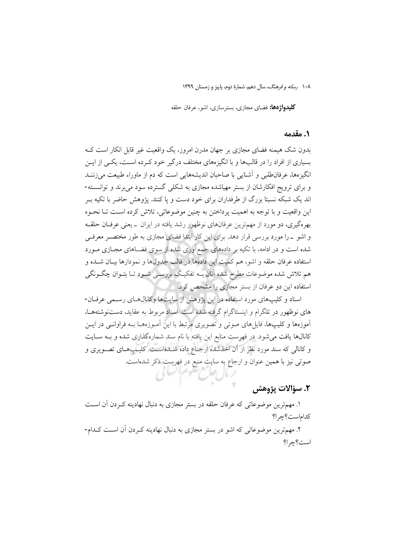**کلیدواژهها:** فضای مجازی، بسترسازی، اشو، عرفان حلقه

### **۱. مقدمه**

بدون شک هیمنه فضای مجازی بر جهان مدرن امروز، یک واقعیت غیر قابل انکار است کـه بسیاری از افراد را در قالبها و با انگیزههای مختلف درگیر خود کـرده اسـت، یکـی از ایــن انگیزهها، عرفانطلبی و اَشنایی با صاحبان اندیشههایی است که دم از ماوراء طبیعت می زننـد و برای ترویج افکارشان از بستر مهیاشده مجازی به شکلی گسترده سود می برند و توانســته-اند یک شبکه نسبتا بزرگ از طرفداران برای خود دست و یا کنند. پژوهش حاضر با تکیه ب این واقعیت و با توجه به اهمیت پرداختن به چنین موضوعاتی، تلاش کرده است تـا نحـوه بهرهگیری، دو مورد از مهمترین عرفانهای نوظهوار رشد یافته در ایران \_یعنی عرفان حلقـه و اشو \_را مورد بررسی قرار دهد. برای این کار ابتدا فضای مجازی به طور مختصـر معرفـی شده است و در ادامه، با تکیه بر دادههای جمع[وری شده از سوی فضـاهای مجـازی مــورد استفاده عرفان حلقه و اشو، هم كميتِ اين دادهها در قالب جدولها و نمودارها بيـان شـده و هم تلاش شده موضوعات مطرح شده آنان بــه تفکیـک بررســی شــود تــا بتــوان چگــونگـی استفاده این دو عرفان از بستر مجازی را مشخص کرد.

اسناد و کلیپهای مورد استفاده در این پژوهش از سایتها وکانالهای رسمی عرفان-های نوظهور در تلگرام و اینستاگرام گرفته شده است. اسناد مربوط به عقاید، دستنوشتههـا، آموزهها و کلیپها، فایلهای صوتی و تصویری مرتبط با این آمـوزههـا بـه فراوانـی در ایـن کانالها یافت می شود. در فهرست منابع این یافته با نام سند شمارهگذاری شده و بـه سـایت و کانالی که سند مورد نظر از آن اخذشده ارجـاع داده شــدهاســت. کلیــپـهـای تصــویری و صوتی نیز با همین عنوان و ارجاع به سایت منبع در فهرست ذکر شدهاست.

### ٢. سؤالات يژوهش

۱. مهمترین موضوعاتی که عرفان حلقه در بستر مجازی به دنبال نهادینه کـردن اَن اسـت كداماست؟چرا؟

۲. مهمترین موضوعاتی که اشو در بستر مجازی به دنبال نهادینه کـردن آن اسـت کـدام-است؟چرا؟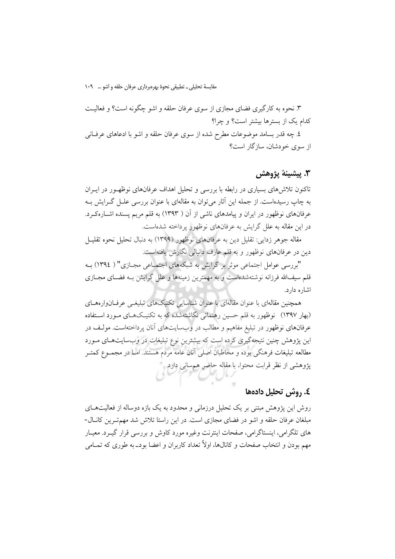مقايسة تحليلي \_ تطبيقي نحوة بهرهبرداري عرفان حلقه واشو … ١٠٩

۳. نحوه به کارگیری فضای مجازی از سوی عرفان حلقه و اشو چگونه است؟ و فعالیت کدام یک از بسترها بیشتر است؟ و چرا؟ ٤. چه قدر بسامد موضوعات مطرح شده از سوى عرفان حلقه و اشو با ادعاهاى عرفانى از سوی خودشان، سازگار است؟

### 3. يىشىنە يۋوھش

تاکنون تلاش های بسیاری در رابطه با بررسی و تحلیل اهداف عرفانهای نوظهـور در ایــران به چاپ رسیدهاست. از جمله این آثار می توان به مقالهای با عنوان بررسی علـل گـرایش بـه عرفانهای نوظهور در ایران و پیامدهای ناشی از آن ( ۱۳۹۳) به قلم مریم پسنده اشـارهکـرد. در این مقاله به علل گرایش به عرفانهای نوظهور پرداخته شدهاست.

مقاله جوهر زدایی: تقلیل دین به عرفانهای نوظهور (۱۳۹۹) به دنبال تحلیل نحوه تقلیـل دین در عرفانهای نوظهور و به قلم عارف دانیالی نگارش یافتهاست.

"پررسی عوامل اجتماعی موثر پر گرایش به شبکههای اجتمـاعی مجـازی" ( ١٣٩٤) بـه قلم سیفالله فرزانه نوشتهشدهاست و به مهمترین زمینهها و علل گرایش بـه فضـای مجـازی اشاره دارد.

همچنین مقالهای با عنوان مقالهای با عنوان شناسایی تکنیکهای تبلیغـی عرفــانوارههــای (بهار ۱۳۹۷) نوظهور به قلم حسین رهنمائی نگاشتهشده که به تکنیکهای مورد استفاده عرفانهای نوظهور در تبلیغ مفاهیم و مطالب در وبسایتهای آنان پرداختهاست. مولـف در این پژوهش چنین نتیجهگیری کرده است که بیشترین نوع تبلیغات در وبسایتهای مـورد مطالعه تبلیغات فرهنگی بوده و مخاطبان اصلی آنان عامه مردم هستند. امـا در مجمــوع کمتــر یژوهشی از نظر قرابت محتوا، با مقاله حاضر همسانی دارد.

### ٤. , وشر ، تحليل دادهها

روش این پژوهش مبتنی بر یک تحلیل درزمانی و محدود به یک بازه دوساله از فعالیتهــای مبلغان عرفان حلقه و اشو در فضای مجازی است. در این راستا تلاش شد مهم تـرین کانـال-های تلگرامی، اینستاگرامی، صفحات اینترنت وغیره مورد کاوش و بررسی قرار گیـرد. معیــار مهم بودن و انتخاب صفحات و کانالها، اولاً تعداد کاربران و اعضا بودـ به طوری که تمــامی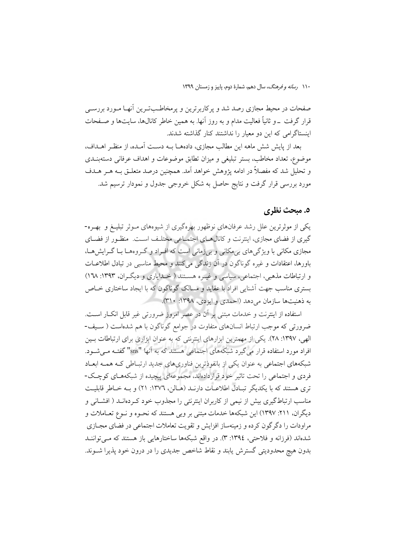صفحات در محیط مجازی رصد شد و یرکاربرترین و یرمخاطـبتـرین آنهـا مـورد بررسـی قرار گرفت \_و ثانیاً فعالیت مدام و به روز آنها. به همین خاطر کانالها، سایتها و صـفحات اینستاگرامی که این دو معیار را نداشتند کنار گذاشته شدند.

بعد از پایش شش ماهه این مطالب مجازی، دادههــا بــه دســت آمــده، از منظـر اهــداف، موضوع، تعداد مخاطب، بستر تبليغي و ميزان تطابق موضوعات و اهداف عرفاني دستهبنـدي و تحلیل شد که مفصلاً در ادامه یژوهش خواهد آمد. همچنین درصد متعلـق بــه هــر هــدف مورد بررسی قرار گرفت و نتایج حاصل به شکل خروجی جدول و نمودار ترسیم شد.

### ٥. مبحث نظري

یکی از موثرترین علل رشد عرفانهای نوظهور بهرهگیری از شیوههای مـوثر تبلیـغ و بهـره-گیری از فضای مجازی، اینترنت و کانالهـای اجتمـاعی مختلـف اسـت. منظـور از فضـای مجازی مکانی با ویژگیهای بی مکانی و بیزمانی است که افـراد و گـروههــا بــا گــرایشهــا، باورها، اعتقادات و غيره گوناگون در آن زندگي مي كنند و محيط مناسبي در تبادل اطلاعــات و ارتباطات مذهبی، اجتماعی، سیاسی و غیـره هسـتند ( خـدایاری و دیگـران، ۱۳۹۳: ۱٦۸) بستری مناسب جهت آشنایی افراد با عقاید و مسالک گوناگون که با ایجاد ساختاری خــاص به ذهنيتها سازمان مي دهد (احمدي و ايزدي، ١٣٩٨: ٣١٠).

استفاده از اینترنت و خدمات مبتنی بر آن در عصر امروز ضرورتی غیر قابل انک ار است. ضرورتی که موجب ارتباط انسانهای متفاوت در جوامع گوناگون با هم شدهاست ( سـيف-الهی، ۱۳۹۷: ۲۸). یکی از مهمترین ابزارهای اینترنتی که به عنوان ابزاری برای ارتباطات بـین افراد مورد استفاده قرار می گیرد شبکههای اجتماعی هستند که به آنها "sns" گفتـه مـی شـود. شبکههای اجتماعی به عنوان یکی از بانفوذترین فناوریهای جدید ارتباطی کـه همـه ابعـاد فردی و اجتماعی را تحت تاثیر خود قراردادهاند، مجموعهای پیچیده از شبکههـای کوچـک-تری هستند که با یکدیگر تبـادل اطلاعـات دارنـد (هـالن، ١٣٧٦: ٢١) و بـه خـاطر قابليـت مناسب ارتباطگیری بیش از نیمی از کاربران اینترنتی را مجذوب خود کـردهانــد ( افشــانی و دیگران، ۲۱۱: ۱۳۹۷) این شبکهها خدمات مبتنی بر وبی هستند که نحـوه و نـوع تعـاملات و مراودات را دگر گون کرده و زمینهساز افزایش و تقویت تعاملات اجتماعی در فضای مجــازی شدهاند (فرزانه و فلاحتی، ١٣٩٤: ٣). در واقع شبکهها ساختارهایی باز هستند که میتوانن بدون هيچ محدوديتي گسترش يابند و نقاط شاخص جديدي را در درون خود يذيرا شــوند.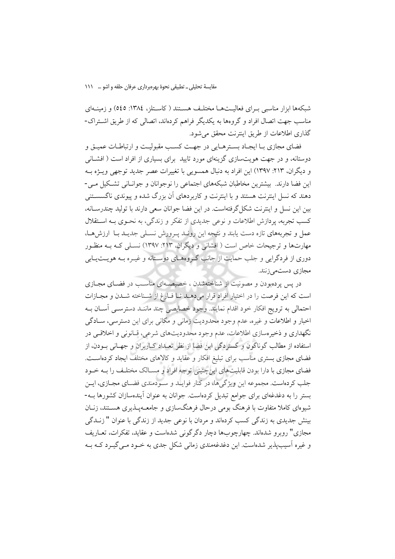مقايسة تحليلي \_ تطبيقي نحوة بهرهبرداري عرفان حلقه واشو … 111

شبکهها ابزار مناسبی بـرای فعالیــتهــا مختلـف هســتند ( کاســتلز، ١٣٨٤: ٥٤٥) و زمینــهای مناسب جهت اتصال افراد و گروهها به يكديگر فراهم كردهاند، اتصالى كه از طريق اشتراك-گذاری اطلاعات از طریق اینترنت محقق می شود.

فضای مجازی بـا ایجـاد بسـترهـایی در جهـت کسـب مقبوليـت و ارتباطـات عميـق و دوستانه، و در جهت هویتسازی گزینهای مورد تایید برای بسیاری از افراد است ( افشــانی و دیگران، ۲۱۳: ۱۳۹۷) این افراد به دنبال همسویی با تغییرات عصر جدید توجهی ویــژه بـه این فضا دارند. بیشترین مخاطبان شبکههای اجتماعی را نوجوانان و جوانـانی تشـکیل مـی-دهند که نسل اینترنت هستند و با اینترنت و کاربردهای آن بزرگ شده و پیوندی ناگسســتنی بین این نسل و اینترنت شکل گرفتهاست. در این فضا جوانان سعی دارند با تولید چندرسـانه، کسب تجربه، یردازش اطلاعات و نوعی جدیدی از تفکر و زندگی، به نحـوی بــه اســتقلال عمل و تجربههای تازه دست یابند و نتیجه این رونـد پـرورش نسـلی جدیـد بـا ارزشهـا، مهارتها و ترجیحات خاص است ( افشانی و دیگران، ۲۱۳: ۱۳۹۷) نسـلی کـه بـه منظـور دوری از فردگرایی و جلب حمایت از جانب گروههـای دوسـتانه و غیـره بـه هویــتیـابی مجازي دستمي زنند.

در پس پردهبودن و مصونیت از شناختهشدن ، خصیصهای مناسب در فضـای مجـازی است كه اين فرصت را در اختيار افراد قرار مى دهـد تـا فـارغ از شـناخته شـدن و مجـازات احتمالی به ترویج افکار خود اقدام نمایند. وجود خصایصی چند ماننـد دسترسـی آسـان بـه اخبار و اطلاعات و غیره، عدم وجود محدودیت زمانی و مکانی برای این دسترسی، سـادگی نگهداری و ذخیرهسازی اطلاعات، عدم وجود محدودیتهای شرعی، قـانونی و اخلاقـی در استفاده از مطالب گوناگون و گستردگی این فضا از نظر تعـداد کــاربران و جهــانی بــودن، از فضای مجازی بستری مناسب برای تبلیغ افکار و عقاید و کالاهای مختلف ایجاد کردهاست. فضای مجازی با دارا بودن قابلیتهای اینچنینی توجه افراد و مســالک مختلـف را بــه خــود جلب کردهاست. مجموعه این ویژگیها، در کنار فوایید و سیودمندی فضیای مجبازی، این بستر را به دغدغهای برای جوامع تبدیل کردهاست. جوانان به عنوان آیندهسازان کشورها بــه-شیوهای کاملا متفاوت با فرهنگ بومی درحال فرهنگسازی و جامعــهیــذیری هســتند، زنــان بینش جدیدی به زندگی کسب کردهاند و مردان با نوعی جدید از زندگی با عنوان " زنــدگی مجازي" روبرو شدهاند. چهارچوبها دچار دگرگونی شدهاست و عقايد، تفكرات، تعــاريف و غیره آسیبپذیر شدهاست. این دغدغهمندی زمانی شکل جدی به خــود مــی گیــرد کــه بــه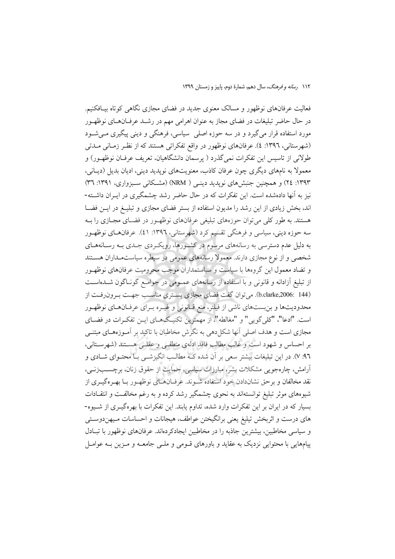فعالیت عرفانهای نوظهور و مسالک معنوی جدید در فضای مجازی نگاهی کوتاه بیـافکنیم. در حال حاضر تبلیغات در فضای مجاز به عنوان اهرامی مهم در رشـد عرفـانهـای نوظهـور مورد استفاده قرار میگیرد و در سه حوزه اصلی ً سیاسی، فرهنگی و دینی پیگیری مــیشــود (شهرستانی، ۱۳۹۲: ٤). عرفانهای نوظهور در واقع تفکراتی هستند که از نظـر زمـانی مــدتی طولانی از تاسیس این تفکرات نمی گذرد ( پرسمان دانشگاهیان، تعریف عرفـان نوظهـور) و معمولاً به نامهای دیگری چون عرفان کاذب، معنویتهای نویدید دینی، ادیان بدیل (دیبانی، ۱۳۹۳: ۲٤) و همچنین جنبش های نویدید دینـی ( NRM) (مشـكانی سـبزواری، ۱۳۹۱: ۳۳) نیز به آنها دادهشده است. این تفکرات که در حال حاضر رشد چشمگیری در ایـران داشــته-اند، بخش زیادی از این رشد را مدیون استفاده از بستر فضای مجازی و تبلیـغ در ایــن فضــا هستند. به طور کلّی می توان حوزههای تبلیغی عرفانهای نوظهـور در فضـای مجـازی را بـه سه حوزه دینی، سیاسی و فرهنگی تقسیم کرد (شهرستانی، ۱۳۹۲: ٤١). عرفانهای نوظهـور به دلیل عدم دسترسی به رسانههای مرسوم در کشورها، رویک ردی جـدی بـه رسـانههـای شخصی و از نوع مجازی دارند. معمولاً رسانههای عمومی در سیطره سیاستمـداران هسـتند و تضاد معمول این گروهها با سیاست و سیاستمداران موجب محرومیت عرفانهای نوظهـور از تبلیغ آزادانه و قانونی و با استفاده از رسانههای عمـومی در جوامـع گونـاگون شـدهاسـت (b.clarke,2006: 144). می توان گفت فضای مجازی بستری مناسب جهت به ون رفت از محدودیتها و بن بستهای ناشی از فیلتر، منع قـانونی و غیـره بـرای عرفـانهـای نوظهـور است. "ادعا"، "كلي گويي" و "مغالطه"، از مهمترين تكنيـگهــاي ايــن تفكـرات در فضــاي مجازی است و هدف اصلی آنها شکل دهی به نگرش مخاطبان با تاکید بر آمـوزههـای مبتنــی بر احساس و شهود است و غالب مطالب فاقد ادلهي منطقي و عقلـي هسـتند (شهرسـتاني، ٩٦: ٧). در این تبلیغات بیشتر سعی بر آن شده کـه مطالـب انگیزشــی بــا محتــوای شــادی و آرامش، چارەجویی مشکلات بشر، مبارزات سیاسی، حمایت از حقوق زنان، برچســبزنــی، نقد مخالفان و برحق نشاندادن خود استفاده شـوند. عرفــانهــاي نوظهــور بــا بهــرهگيــري از شیوههای موثر تبلیغ توانستهاند به نحوی چشمگیر رشد کرده و به رغم مخالفت و انتقـادات بسیار که در ایران بر این تفکرات وارد شده، تداوم یابند. این تفکرات با بهرهگیــری از شــیوه-های درست و اثربخش تیلیغ یعنی برانگیختن عواطف، هیجانات و احساسات مـیهندوسـتی و سیاسی مخاطبین، بیشترین جاذبه را در مخاطبین ایجادکردهاند. عرفانهای نوظهور با تبـادل پیامهایی با محتوایی نزدیک به عقاید و باورهای قـومی و ملـی جامعـه و مـزین بـه عوامـل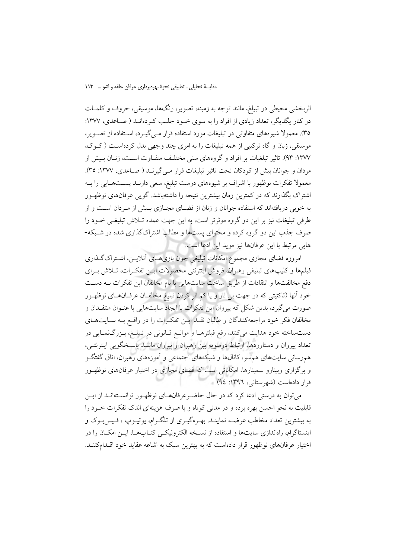اثربخشی محیطی در تبیلغ، مانند توجه به زمینه، تصویر، رنگها، موسیقی، حروف و کلمـات در کنار یگدیگر، تعداد زیادی از افراد را به سوی خـود جلـب کـردهانـد ( صـاعدی، ۱۳۷۷: ۳۵). معمولا شیوههای متفاوتی در تبلیغات مورد استفاده قرار مـی گیـرد، اســتفاده از تصــویر، موسیقی، زبان و گاه ترکیبی از همه تبلیغات را به امری چند وجهی بدل کردهاست (کوک، ۱۳۷۷: ۹۳). تاثیر تبلغیات بر افراد و گروههای سنی مختلـف متفــاوت اســت، زنــان بــیش از مردان و جوانان بیش از کودکان تحت تاثیر تبلیغات قرار مے گیرنــد ( صــاعدی، ۱۳۷۷: ۳۵). معمولا تفکرات نوظهور با اشراف بر شیوههای درست تبلیغ، سعی دارنـد پسـتهـایی را بـه اشتراک بگذارند که در کمترین زمان بیشترین نتیجه را داشتهباشد. گویبی عرفانهای نوظهـور به خوبی دریافتهاند که استفاده جوانان و زنان از فضـای مجـازی بـیش از مـردان اسـت و از طرفی تبلیغات نیز بر این دو گروه موثرتر است، به این جهت عمده تـلاش تبلیغـی خــود را صرف جذب این دو گروه کرده و محتوای پستها و مطالب اشتراکگذاری شده در شـبکه-هايي مرتبط با اين عرفانها نيز مويد اين ادعا است.

امروزه فضای مجازی مجموع امکانات تبلیغی چون بازیهای آنلایس، اشتراک گـذاری فیلمها و کلیپهای تبلیغی رهبران، فروش اینترنتی محصولات ایــن تفکــرات، تــلاش بــرای دفع مخالفتها و انتقادات از طريق ساخت سايتهايي با نام مخالفان اين تفكرات بـه دسـت خود آنها (تاکتیتی که در جهت بی ثار و یا کم اثر کردن تبلیغ مخالفـان عرفـانهـای نوظهـور صورت می گیرد، بدین شکل که پیروان این تفکرات با ایجاد سایتهایی با عنـوان منتفـدان و مخالفان فکر خود مراجعهکنندگان و طالبان نقـد ايـن تفکـرات را در واقـع بـه سـايتهـاي دستساخته خود هدايت مى كنند، رفع فيلترهـا و موانـع قـانونى در تبيلـغ، بـزرگـنمـايى در تعداد پیروان و دستاوردها، ارتباط دوسویه بین رهبران و پیروان ماننـد پاسـخگویی اینترنتـی، همرسانی سایتهای هم سو، کانالها و شبکههای اجتماعی و آموزههای رهبران، اتاق گفتگــو و برگزاری وبینارو سمینارها، امکاناتی است که فضای مجازی در اختیار عرفانهای نوظهـور قرار دادهاست (شهرستانی، ۱۳۹۲: ۹٤).

می توان به درستی ادعا کرد که در حال حاضـرعرفانهـای نوظهـور توانسـتهانـد از ایــن قابلیت به نحو احسن بهره برده و در مدتی کوتاه و با صرف هزینهای اندک تفکرات خـود را به بیشترین تعداد مخاطب عرضــه نماینــد. بهــرهگیــری از تلگــرام، یوتیــوب ، فـیسبــوک و اینستاگرام، راهاندازی سایتها و استفاده از نسـخه الکترونیکـی کتـابهـا، ایـن امکـان را در اختیار عرفانهای نوظهور قرار دادهاست که به بهترین سبک به اشاعه عقاید خود اقـدامکننـد.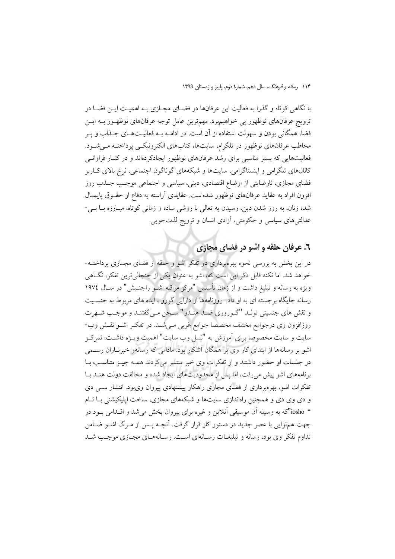با نگاهی کوتاه و گذرا به فعالیت این عرفانها در فضـای مجـازی بـه اهمیـت ایــن فضـا در ترويج عرفانهاي نوظهور يي خواهيمبرد. مهمترين عامل توجه عرفانهاي نوظهـور بــه ايــن فضا، همگانی بودن و سهولت استفاده از آن است. در ادامــه بــه فعالیــتهــای جــذاب و پــر مخاطب عرفانهای نوظهور در تلگرام، سایتها، کتابهای الکترونیکـی پرداختـه مـی شـود. فعالیتهایی که بستر مناسبی برای رشد عرفانهای نوظهور ایجادکردهاند و در کنـار فراوانــی کانالهای تلگرامی و اینستاگرامی، سایتها و شبکههای گوناگون اجتماعی، نرخ بالای کـاربر فضای مجازی، نارضایتی از اوضاع اقتصادی، دینی، سیاسی و اجتماعی موجب جـذب روز افزون افراد به عقاید عرفانهای نوظهور شدهاست. عقایدی آراسته به دفاع از حقــوق پایمــال شده زنان، به روز شدن دین، رسیدن به تعالی با روشی ساده و زمانی کوتاه، مبـارزه بـا بـی-عدالتیهای سیاسی و حکومتی، آزادی انسان و ترویج لذتجویی.

## ٦. عرفان حلقه و اشو در فضای مجازی

در این بخش به بررسی نحوه بهرهبرداری دو تفکر اشو و حلقه از فضای مجـازی پرداختــه-خواهد شد. اما نکته قابل ذکر این است که، اشو به عنوان یکی از جنجالی ترین تفکر، نگـاهی ویژه به رسانه و تبلیغ داشت و از زمان تأسیس "مرکز مراقبه اشـو راجنـیش" در سـال ۱۹۷٤ رسانه جایگاه برجسته ای به او داد. روزنامهها از دارایی گورو ، ایده های مربوط به جنسـیت و نقش هاي جنسيتي تولـد "گــوروري ضــد هنـدو" ســخن مــي گفتنـد و موجـب شــهرت روزافزون وي درجوامع مختلف مخصصا جوامع غربي مـي شـد. در تفكـر اشـو نقـش وب-سايت و سايت مخصوصا براي آموزش به "نسل وب سايت" اهميت ويــــزه داشـــت. تمركـــز اشو بر رسانهها از ابتدای کار وی بر همگان آشکار بود. مادامی که رسانهو خبرنـاران رســمی در جلسات او حضور داشتند و از تفکرات وی خبر منتشر می کردند همـه چیــز متناســب بــا برنامههای اشو پیش می رفت، اما پس از محدودیتهای ایجاد شده و مخالفت دولت هنـد بـا تفکرات اشو، بهرهبرداری از فضای مجازی راهکار پیشنهادی پیروان ویبود. انتشار سبی دی و دی وی دی و همچنین راهاندازی سایتها و شبکههای مجازی، ساخت ایلیکیشنی بـا نــام " iosho"که به وسیله آن موسیقی آنلاین و غیره برای پیروان یخش می شد و اقــدامی بــود در جهت همنوایی با عصر جدید در دستور کار قرار گرفت. آنچـه پـس از مـرگ اشــو ضــامن تداوم تفکر وی بود، رسانه و تبلیغـات رسـانهای اسـت. رسـانههـای مجـازی موجـب شـد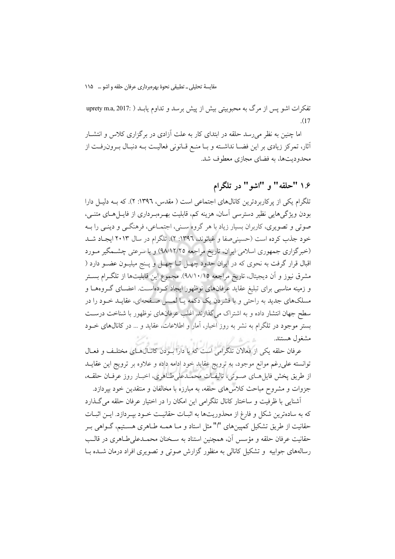مقايسةَ تحليلي \_ تطبيقي نحوة بهرهبرداري عرفان حلقه و اشو … ١١٥

تفكرات اشو يس از مرگ به محبوبيتي بيش از پيش برسد و تداوم يابـد ( :107 uprety m.a, 2  $(17)$ 

اما چنین به نظر می رسد حلقه در ابتدای کار به علت آزادی در برگزاری کلاس و انتشــار أثار، تمركز زيادي بر اين فضــا نداشــته و بــا منــع قــانوني فعاليــت بــه دنبـال بــرون(فــت از محدودیتها، به فضای مجازی معطوف شد.

## ۱۶ "حلقه" و "اشو " در تلگرام

تلگرام یکی از پرکاربردترین کانالهای اجتماعی است ( مقدس، ۱۳۹۲: ۲). که بـه دلیـل دارا بودن ویژگیهایی نظیر دسترسی آسان، هزینه کم، قابلیت بهـرهبـرداری از فایــلهــای متنــی، صوتی و تصویری، کاربران بسیار زیاد با هر گروه سـنی، اجتمـاعی، فرهنگـی و دینـی را بــه خود جذب کرده است (حسینی صفا و غیاثوند، ١٣٩٦: ٢). تلگرام در سال ٢٠١٣ ایجـاد شــد (خبرگزاری جمهوری اسلامی ایران، تاریخ مراجعه ۹۸/۱۲/۲۵) و با سرعتی چشـمگیر مـورد اقبال قرار گرفت به نحوی که در ایران حدود چهـل تــا چهــل و پــنج میلیــون عضــو دارد ( مشرق نيوز و اّن ديجيتال، تاريخ مراجعه ٩٨/١٠/١٥). مجموع اين قابليتها از تلگـرام بســتر و زمینه مناسبی برای تبلیغ عقاید عرفانهای نوظهور ایجاد کهرداست. اعضای گروهها و مسلکهای جدید به راحتی و با فشردن یک دکمه یـا لمـس صـفحهای، عقایـد خـود را در سطح جهان انتشار داده و به اشتراک میگذارند. اغلب عرفانهای نوظهور با شناخت درست بستر موجود در تلگرام به نشر به روز اخبار، آمار و اطلاعات، عقاید و … در کانال&ای خــود مشغول هستند.

عرفان حلقه یکی از فعالان تلگرامی است که با دارا بودن کانالهای مختلف و فعـال توانسته علىرغم موانع موجود، به ترويج عقايد خود ادامه داده و علاوه بر ترويج اين عقايــد از طريق پخش فايل هـاي صـوتي، تاليفـات محمـدعلىطـاهري، اخبـار روز عرفـان حلقـه، جزوات و مشروح مباحث كلاسهاى حلقه، به مبارزه با مخالفان و منتقدين خود بيردازد.

أشنايي با ظرفيت و ساختار كانال تلگرامي اين امكان را در اختيار عرفان حلقه مي گـذارد كه به سادهترين شكل و فارغ از محذوريتها به اثبـات حقانيـت خــود بيــردازد. ايــن اثبــات حقانیت از طریق تشکیل کمپینهای "ا" مثل استاد و مـا همـه طـاهری هسـتیم، گــواهی بــر حقانيت عرفان حلقه و مؤسس أن، همچنين استناد به سـخنان محمــدعلىطــاهري در قالــب رسالههای جوابیه ًو تشکیل کانالی به منظور گزارش صوتی و تصویری افراد درمان شــده بــا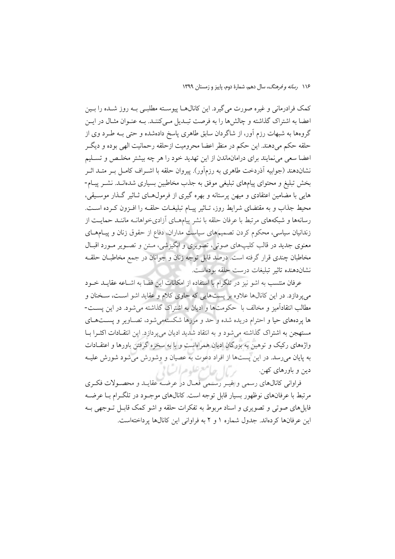کمک فرادرمانی و غیره صورت می گیرد. این کانال۱هـا پیوسـته مطلبـی بـه روز شـده را بـین اعضا به اشتراک گذاشته و چالشها را به فرصت تبـدیل مـی کننـد. بــه عنــوان مثــال در ایــن گروهها به شبهات رزم آور، از شاگردان سابق طاهری پاسخ دادهشده و حتی بــه طــرد وی از حلقه حکم میٖدهند. این حکم در منظر اعضا محرومیت ازحلقه رحمانیت الهی بوده و دیگـر اعضا سعی می نمایند برای درامان.اندن از این تهدید خود را هر چه بیشتر مخلـص و تسـلیم نشاندهند (جوابیه آذردخت طاهری به رزمآور). ییروان حلقه با اشـراف کامـل بـر متــد اثــر بخش تبلیغ و محتوای پیامهای تبلیغی موفق به جذب مخاطبین بسیاری شدهانـد. نشـر پیـام-هایی با مضامین اعتقادی و میهن پرستانه و بهره گیری از فرمول هـای ثـاثیر گـذار موسـیقی، محیط جذاب و به مقتضای شرایط روز، تـاثیر پیـام تبلیغـات حلقـه را افـزون کـرده اسـت. رسانهها و شبکههای مرتبط با عرفان حلقه با نشر پیامهـای ازادیخواهانــه ماننــد حمایــت از زندانیان سیاسی، محکوم کردن تصمیمهای سیاست مداران، دفاع از حقوق زنان و پیـامهـای معنوي جديد در قالب كليبهاي صوتي، تصويري و انگيزشي، مـتن و تصـوير مـورد اقبـال مخاطبان چندی قرار گرفته است. درصد قابل توجه زنان و جوانان در جمع مخاطبـان حلقــه نشاندهنده تاثير تبليغات درست حلقه بودهاست.

عرفان منتسب به اشو نیز در تلگرام با استفاده از امکانات این فضا به اشــاعه عقایــد خــود می پردازد. در این کانالها علاوه بر پستهایی که حاوی کلام و عقاید اشو است، سـخنان و مطالب انتقادآمیز و مخالف با حکومتها و ادیان به اشتراک گذاشته می شود. در این یست-ها پردههای حیا و احترام دریده شده و حد و مرزها شکستهمی شود، تصـاویر و یسـتهـای مستهجن به اشتراک گذاشته می شود و به انتقاد شدید ادیان می پردازد. این انتقـادات اکثـرا بـا واژههای رکیک و توهین به بزرگان ادیان همراهاست و با به سخره گرفتن باورها و اعتقــادات به پایان میرسد. در این پستها از افراد دعوت به عصیان و وشورش می شود شورش علیـه 

فراوانی کانالهای رسمی و غیـر رسـمی فعـال در عرضـه عقایـد و محصـولات فکـری مرتبط با عرفانهای نوظهور بسیار قابل توجه است. کانالهای موجـود در تلگـرام بــا عرضــه فایل های صوتی و تصویری و اسناد مربوط به تفکرات حلقه و اشو کمک قابـل تـوجهی بـه این عرفانها کردهاند. جدول شماره ۱ و ۲ به فراوانی این کانالها پرداختهاست.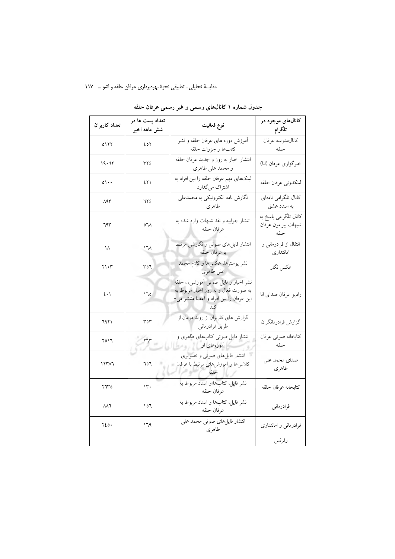### مقایسهٔ تحلیلی ــ تطبیقی نحوهٔ بهرهبرداری عرفان حلقه و اشو … ۱۱۷

| تعداد كاربران                             | تعداد پست ها در<br>شش ماهه اخير | نوع فعاليت                                                                                                              | کانالهای موجود در<br>تلگرام                          |
|-------------------------------------------|---------------------------------|-------------------------------------------------------------------------------------------------------------------------|------------------------------------------------------|
| 0177                                      | ٤٥٢                             | آموزش دوره های عرفان حلقه و نشر<br>كتابها و جزوات حلقه                                                                  | كانالمدرسه عرفان<br>حلقه                             |
| ۱۹۰٦۲                                     | ٢٢٤                             | انتشار اخبار به روز و جدید عرفان حلقه<br>و محمد على طاهري                                                               | خبرگزاري عرفان (انا)                                 |
| $\circ \cdot \cdot$                       | ٤٢١                             | لینکهای مهم عرفان حلقه را بین افراد به<br>اشتراک میگذارد                                                                | لينكدوني عرفان حلقه                                  |
| $\Lambda$ 9٣                              | ٦٢٤                             | نگارش نامه الکترونیکی به محمدعلی<br>طاهري                                                                               | كانال تلگرامي نامهاي<br>به استاد عشق                 |
| ٦٩٣                                       | 0٦٨                             | انتشار جوابيه و نقد شبهات وارد شده به<br>عرفان حلقه                                                                     | كانال تلگرامى پاسخ به<br>شبهات پيرامون عرفان<br>حلقه |
| ۱۸                                        | $\sqrt{2}$                      | انتشار فایلهای صوتی و نگارشی مرتبط<br>با عرفان حلقه                                                                     | انتقال از فرادرمانی و<br>امانتدارى                   |
| ۲۱۰۳                                      | ٣٥٦                             | نشر پوسترها، عکسها و کلام محمد<br>على طاهري                                                                             | عكس نگار                                             |
| $\mathbf{\hat{z}}\bullet\mathbf{\hat{y}}$ | 170                             | نشر اخبار و فایل صوتی آموزشی، ، حلقه<br>به صورت فعال و به روز اخبار مربوط به<br>این عرفان را بین افراد و اعضا منتشر می- | راديو عرفان صداي انا                                 |
| ٦٩٢١                                      | ۳٥٣                             | گزارش های کاربران از روند درمان از<br>طريق فرادرماني                                                                    | گزارش فرادرمانگران                                   |
| ۲۵۱٦                                      | 577                             | انتشار فایل صوتی کتابهای طاهری و<br>آموزههای او است است.                                                                | كتابخانه صوتى عرفان<br>حلقه                          |
| ۱۲۳۸٦                                     | 707                             | انتشار فایلهای صوتی و تصویری<br>کلاس۵ا و اَموزشهای مرتبط با عرفان                                                       | صداي محمد على<br>طاهري                               |
| ۳٦٣٥                                      | $\Upsilon$                      | نشر فایل، کتابها و اسناد مربوط به<br>عرفان حلقه                                                                         | كتابخانه عرفان حلقه                                  |
| $\wedge\wedge\overline{\wedge}$           | ۱٥٦                             | نشر فایل، کتابها و اسناد مربوط به<br>عرفان حلقه                                                                         | فرادرماني                                            |
| $Y\S0$ .                                  | ۱٦۹                             | انتشار فايلهاي صوتى محمد على<br>طاهري                                                                                   | فرادرمانی و امانتداری                                |
|                                           |                                 |                                                                                                                         | رفرنس                                                |

جدول شماره ۱ کانالهای رسمی و غیر رسمی عرفان حلقه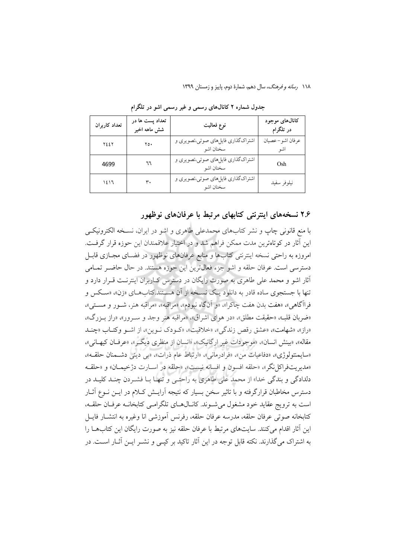| تعداد كاربران | تعداد پست ها در<br>شش ماهه اخیر | نوع فعاليت                                     | کانالهای موجود<br>در تلگرام |
|---------------|---------------------------------|------------------------------------------------|-----------------------------|
| ٢٤٤٢          | $\gamma$ o.                     | اشتراکگذاری فایلهای صوتی،تصویری و<br>سخنان اشو | عرفان اشو- عصيان<br>اشو     |
| 4699          | ٦٦                              | اشتراکگذاری فایلهای صوتی،تصویری و<br>سخنان اشو | Osh                         |
| ۱٤١٦          | ٣.                              | اشتراکگذاری فایلهای صوتی،تصویری و<br>سخنان اشو | نيلوفر سفيد                 |

جدول شماره ۲ کانالهای رسمی و غیر رسمی اشو در تلگرام

۲.۶ نسخههای اینترنتی کتابهای مرتبط با عرفانهای نوظهور

با منع قانونی چاپ و نشر کتابهای محمدعلی طاهری و اشو در ایران، نسـخه الکترونیکـی این آثار در کو تاهترین مدت ممکن فراهم شد و در اختیار علاقمندان این حوزه قرار گرفت. امروزه به راحتی نسخه اینترنتی کتابها و منابع عرفانهای نوظهور در فضـای مجـازی قابـل دسترسی است. عرفان حلقه و اشو جزء فعالترین این حوزه هستند. در حال حاضـر تمـامی آثار اشو و محمد علی طاهری به صورت رایگان در دسترس کباربران اینترنت قبرار دارد و تنها با جستجوي ساده قادر به دانلود يک نسـخه از آن هسـتند.کتابهـاي «زن»، «سـکس و فراآگاهي». «هفت بدن هفت چاكرا»، «و آنگاه نبودم»، «مراقبه»، «مراقبه هنر، شـور و مسـتي»، «ضربان قلب»، «حقيقت مطلق»، «در هواي اشراق»، «مراقبه هنر وجد و سـرور»، «راز بـزرگ»، «راز»، «شهامت»، «عشق رقص زندگی»، «خلاقیت»، «کـودک نـوین»، از اشـو وکتـاب «چنـد مقاله»، «بینش انسان»، «موجودات غیر ارگانیک»، «انسان از منظری دیگـر»، «عرفـان کیهـانی»، «سايمنتولو ژى»، «دفاعيات من»، «فرادرمانى»، «ارتباط عام ذرات»، «بى دينى دشـمنان حلقـه»، «مديريتفراكل نگر»، «حلقه افسون و افسانه نيست»، «حلقه در اســارت دژخيمــان» و «حلقــه دلدادگی و بندگی خدا» از محمد علی طاهری به راحتبی و تنهـا بــا فشــردن چنــد کلیــد در دسترس مخاطبان قرارگرفته و با تاثیر سخن بسیار که نتیجه آرایــش کــلام در ایــن نــوع آثــار است به ترويج عقايد خود مشغول مي شـوند. كانـال١عـاي تلگرامـي كتابخانــه عرفـان حلقــه، كتابخانه صوتى عرفان حلقه، مدرسه عرفان حلقه، رفرنس آموزشي انا وغيره به انتشــار فايــل این آثار اقدام می کنند. سایتهای مرتبط با عرفان حلقه نیز به صورت رایگان این کتابهــا را به اشتراک می گذارند. نکته قابل توجه در این آثار تاکید بر کیـی و نشــر ایــن آثــار اســت. در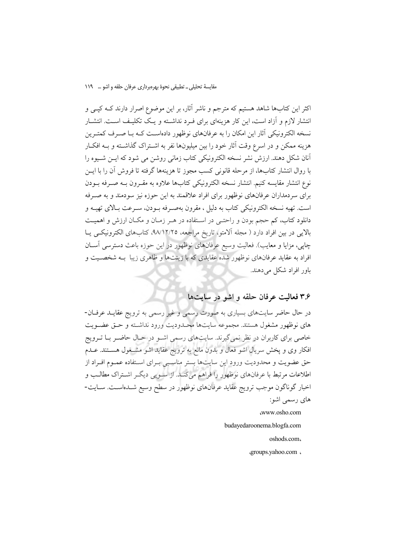اکثر این کتابها شاهد هستیم که مترجم و ناشر آثار، بر این موضوع اصرار دارند کـه کپــی و انتشار لازم و آزاد است، این کار هزینهای برای فـرد نداشـته و یـک تکلیـف اسـت. انتشـار نسخه الکترونیکی آثار این امکان را به عرفانهای نوظهور دادهاست کـه بـا صـرف کمتـرین هزینه ممکن و در اسرع وقت آثار خود را بین میلیونها نفر به اشـتراک گذاشـته و بــه افکــار ۔<br>آنان شکل دهند. ارزش نشر نسخه الکترونیکی کتاب زمانی روشن می شود که ایــن شــیوه را با روال انتشار كتابها، از مرحله قانوني كسب مجوز تا هزينهها گرفته تا فروش آن را با ايــن نوع انتشار مقايسه كنيم. انتشار نسخه الكترونيكي كتابها علاوه به مقـرون بــه صـرفه بــودن برای سردمداران عرفانهای نوظهور برای افراد علاقمند به این حوزه نیز سودمند و به صـرفه است. تهيه نسخه الكترونيكي كتاب به دليل ، مقرون بهصرفه بـودن، سـرعت بـالاي تهيــه و دانلود کتاب، کم حجم بودن و راحتـی در اسـتفاده در هـر زمـان و مکـان ارزش و اهمیـت بالایی در بین افراد دارد ( مجله آلامتو، تاریخ مراجعه، ۹۸/۱۲/۲۵، کتابهای الکترونیکمی یـا چاپی، مزایا و معایب). فعالیت وسیع عرفانهای نوظهور در این حوزه باعث دسترسی آسان افراد به عقاید عرفانهای نوظهور شده عقایدی که با زینتها و ظاهری زیبا بـه شخصـیت و باور افراد شکل می دهند.

## ۳.۶ فعالیت عرفان حلقه و اشو در سایتها

در حال حاضر سایتهای بسیاری به صورت رسمی و غیر رسمی به ترویج عقایـد عرفـان-های نوظهور مشغول هستند. مجموعه سایتها محـدودیت ورود نداشـته و حـق عضـویت خاصی برای کاربران در نظر نمیگیرند. سایتهای رسمیِ اشــو در حــال حاضــر بــا تــرویج افکار وی و پخش سریال اشو فعال و بدون مانع به ترویج عقاید اشو مشــغول هســتند. عــدم حق عضویت و محدودیت ورود این سایتها بستر مناسبهی بـرای اسـتفاده عمـوم افـراد از اطلاعات مرتبط با عرفانهای نوظهور را فراهم میکند. از سـویی دیگـر اشـتراک مطالـب و اخبار گوناگون موجب ترویج عقاید عرفانهای نوظهور در سطح وسیع شــدهاســت. ســایت-های رسمی اشو:

www.osho.com

budavedaroonema.blogfa.com

oshods.com,

«groups.yahoo.com»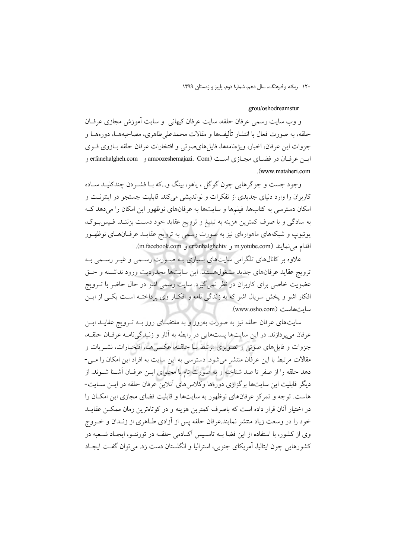#### grou/oshodreamstur

و وب سایت رسمی عرفان حلقه، سایت عرفان کیهانی ۖ و سایت آموزش مجازی عرفـان حلقه، به صورت فعال با انتشار تأليفها و مقالات محمدعلى طاهري، مصاحبههــا، دورههــا و جزوات اين عرفان، اخبار، ويژەنامەها، فايل هاي صوتي و افتخارات عرفان حلقه بــازوي قــوي ايسن عرفيان در فضياي مجبازي است amoozeshemajazi. Com) و erfanehalgheh.com و .(www.mataheri.com

وجود جست و جوگر هايي چون گوگل ، ياهو، بينگ و…كه بــا فشــردن چندكليــد ســاده کاربران را وارد دنیای جدیدی از تفکرات و نواندیشی میکند. قابلیت جستجو در اینترنـت و امکان دسترسی به کتابها، فیلمها و سایتها به عرفانهای نوظهور این امکان را می دهد ک به سادگی و با صرف کمترین هزینه به تبلیغ و ترویج عقاید خود دسـت بزننـد. فـیسبـوک، یوتیوپ و شبکههای ماهوارهای نیز به صورت رسمی به ترویج عقایــد عرفــانهــای نوظهــور اقدام می نمایند (m.facebook.com و erfanhalghehtv و m.facebook.com).

علاوه بر کانالهای تلگرامی سایتهای بسیاری بــه صــورت رســمی و غیــر رســمی بــه ترويج عقايد عرفانهاي جديد مشغولهستند. اين سايتها محدوديت ورود نداشته و حتى عضویت خاصی برای کاربران در نظر نمی گیرد. سایت رسمی اشو در حال حاضر با تـرویج افکار اشو و پخش سریال اشو که به زندگی نامه و افکـار وی پرداختــه اســت یکــی از ایــن سايت هاست (www.osho.com).

سایتهای عرفان حلقه نیز به صورت بهروز و به مقتضـای روز بــه تــرویج عقایــد ایــن عرفان می پردازند. در این سایتها پستهایی در رابطه به آثار و زنبدگی نامـه عرفـان حلقـه، جزوات و فایل های صوتی و تصویری مرتبط بــا حلقــه، عکــسهــا، افتخــارات، نشــریات و مقالات مرتبط با این عرفان منتشر می شود. دسترسی به این سایت به افراد این امکان را مـی-دهد حلقه را از صفر تا صد شناخته و به صورت تام با محتوای ایــن عرفــان آشــنا شــوند. از دیگر قابلیت این سایتها برگزاری دورهها وکلاس های آنلاین عرفان حلقه در ایــن ســایت-هاست. توجه و تمرکز عرفانهای نوظهور به سایتها و قابلیت فضای مجازی این امکـان را در اختیار آنان قرار داده است که باصرف کمترین هزینه و در کوتاهترین زمان ممکــن عقایــد خود را در وسعت زیاد منتشر نمایند.عرفان حلقه پس از آزادی طـاهری از زنــدان و خــروج وی از کشور، با استفاده از این فضا بــه تاســیس آکــادمی حلقــه در تورنتــو، ایجــاد شــعبه در کشورهایی چون ایتالیا، آمریکای جنوبی، استرالیا و انگلستان دست زد. می توان گفت ایجـاد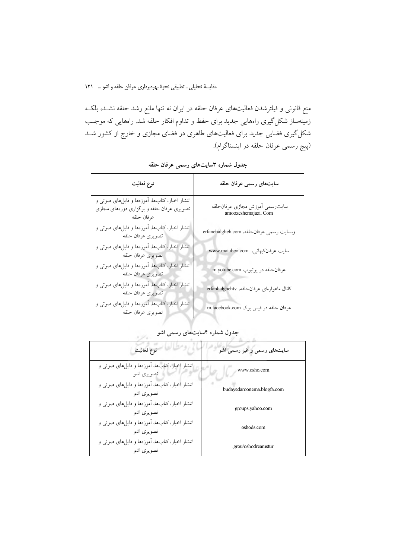مقایسهٔ تحلیلی \_ تطبیقی نحوهٔ بهرهبرداری عرفان حلقه و اشو … ١٢١

منع قانونی و فیلترشدن فعالیتهای عرفان حلقه در ایران نه تنها مانع رشد حلقه نشــد، بلکــه زمینهساز شکل گیری راههایی جدید برای حفظ و تداوم افکار حلقه شد. راههایی که موجـب شکل گیری فضایی جدید برای فعالیتهای طاهری در فضای مجازی و خارج از کشور شــد (پیج رسمی عرفان حلقه در اینستاگرام).

| نوع فعاليت                                                                                                | سايتهاى رسمى عرفان حلقه                                |
|-----------------------------------------------------------------------------------------------------------|--------------------------------------------------------|
| انتشار اخبار، کتابها، آموزهها و فایلهای صوتی و<br>تصویری عرفان حلقه و برگزاری دورههای مجازی<br>عرفان حلقه | سايترسمي أموزش مجازي عرفانحلقه<br>amoozeshemajazi. Com |
| انتشار اخبار، کتابها، آموزهها و فایلهای صوتی و<br>تصويري عرفان حلقه                                       | وبسايت رسمي عرفان حلقه، erfanehalgheh.com              |
| انتشار اخبار، کتابها، آموزهها و فایلهای صوتی و<br>تصويري عرفان حلقه                                       | سايت عرفان كيهاني، www.mataheri.com                    |
| انتشار اخبار، کتابها، آموزهها و فایلهای صوتی و<br>تصويري عرفان حلقه                                       | عرفان حلقه در يوتيوب m.yotube.com                      |
| انتشار اخبار، کتابها، آموزهها و فایلهای صوتی و<br>تصويرى عرفان حلقه                                       | كانال ماهوارهاى عرفان حلقه، erfanhalghehtv             |
| انتشار اخبار، کتابها، آموزهها و فایلهای صوتی و<br>تصويري عرفان حلقه                                       | عرفان حلقه در فیس بوک m.facebook.com                   |
|                                                                                                           | حلمل شماره كإسابت هاص بسم باشم                         |

جدول شماره ۳سایتهای رسمی عرفان حلقه

| جدول شماره ۴سایتهای رسمی اشو |  |
|------------------------------|--|
|                              |  |
|                              |  |

| نوع فعاليت                                                    | سایتهای رسمی و غیر رسمی اشو |
|---------------------------------------------------------------|-----------------------------|
| انتشار اخبار، کتابها، اَموزهها و فایلهای صوتی و<br>تصويري اشو | www.osho.com                |
| انتشار اخبار، كتابها، أموزهها و فايلهاى صوتى و<br>تصویری اشو  | budayedaroonema.blogfa.com  |
| انتشار اخبار، كتابها، أموزهها و فايلهاي صوتي و<br>تصویری اشو  | groups.yahoo.com            |
| انتشار اخبار، كتابها، آموزهها و فايلهاي صوتي و<br>تصویری اشو  | oshods.com                  |
| انتشار اخبار، کتابها، آموزهها و فایلهای صوتی و<br>تصویری اشو  | .grou/oshodreamstur         |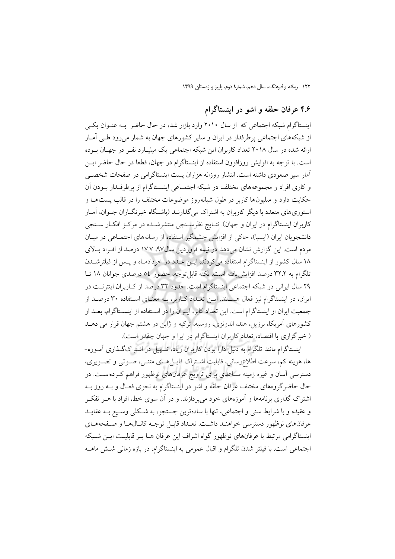## ۴.۶ عرفان حلقه و اشو در اینستاگرام

اینستاگرام شبکه اجتماعی که از سال ۲۰۱۰ وارد بازار شد، در حال حاضر بـه عنـوان یکـی از شبکههای اجتماعی پرطرفدار در ایران و سایر کشورهای جهان به شمار میرود طـی آمـار ارائه شده در سال ۲۰۱۸ تعداد کاربران این شبکه اجتماعی یک میلیبارد نفیر در جهیان سوده است. با توجه به افزایش روزافزون استفاده از اینستاگرام در جهان، قطعا در حال حاضر ایــن آمار سیر صعودی داشته است. انتشار روزانه هزاران پست اینستاگرامی در صفحات شخصــی و کاری افراد و مجموعههای مختلف در شبکه اجتمــاعی اینســتاگرام از پرطرفــدار بــودن آن حکایت دارد و میلیونها کاربر در طول شبانهروز موضوعات مختلف را در قالب پستهـا و استوریهای متعدد با دیگر کاربران به اشتراک می گذارنـد (باشـگاه خبرنگــاران جــوان، آمــار کاربران اینستاگرام در ایران و جهان). نتـایج نظرســنجی منتشرشــده در مرکــز افکـار ســنجی دانشجویان ایران (ایسیا)، حاکی از افزایش چشمگیر استفاده از رسانههای اجتمـاعی در میـان مردم است. این گزارش نشان میدهد در نیمه فروردین سال۹۷. ۱۷.۷ درصد از افـراد بـالای ۱۸ سال کشور از اینستاگرام استفاده میکردند، ایــن عــدد در خردادمـاه و پــس از فیلترشــدن تلگرام به ٣٢.٢ درصد افزایش یافته است. نکته قابل توجه، حضور ٥٤ درصدی جوانان ١٨ تـا ۲۹ سال ایرانی در شبکه اجتماعی اینستاگرام است. حدود ۳۲ درصد از کـاربران اینترنـت در ایران، در اینستاگرام نیز فعال هسـتند. ایــن تعــداد کــاربر، بــه معنــای اسـتفاده ۳۰ درصــد از جمعیت ایران از اینستاگرام است. این تعداد کابر، ایـران را در اسـتفاده از اینسـتاگرام، بعــد از کشورهای آمریکا، برزیل، هند، اندونزی، روسیه، ترکیه و ژاپن در هشتم جهان قرار می دهــد ( خبرگزاری با اقتصاد، تعداد کاربران اینستاگرام در ایرا و جهان چقدر است).

اینستاگرام مانند تلگرام به دلیل دارا بودن کاربران زیاد، تسهیل در اشتراکگذاری آمـوزه-ها، هزینه کم، سرعت اطلاعِرسانی، قابلیت اشـتراک فایـل(هـای متنـی، صـوتی و تصـویری، دسترسی آسان و غیره زمینه مساعدی برای ترویج عرفانهای نوظهور فراهم کـردهاسـت. در حال حاضرگروههای مختلف عرفان حلقه و اشو در اینستاگرام به نحوی فعـال و بــه روز بــه اشتراک گذاری برنامهها و آموزههای خود میپردازند. و در آن سوی خط، افراد با هـر تفکـر و عقيده و با شرايط سني و اجتماعي، تنها با سادهترين جستجو، به شـكلي وسـيع بــه عقايــد عرفانهای نوظهور دسترسی خواهنـد داشـت. تعـداد قابـل توجـه كانـالهـا و صـفحههـای اینستاگرامی مرتبط با عرفانهای نوظهور گواه اشراف این عرفان هـا بـر قابلیـت ایـن شـبکه اجتماعی است. با فیلتر شدن تلگرام و اقبال عمومی به اینستاگرام، در بازه زمانی شــش ماهــه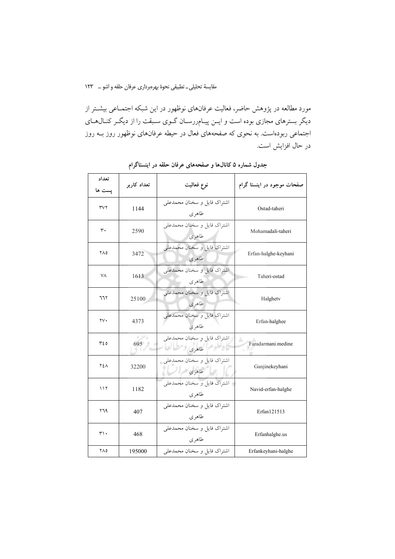مقايسة تحليلي \_ تطبيقي نحوة بهرهبرداري عرفان حلقه واشو … 1۲۳

مورد مطالعه در پژوهش حاضر، فعالیت عرفانهای نوظهور در این شبکه اجتمـاعی بیشــتر از دیگر بسترهای مجازی بوده است و ایـن پیـام٫رسـان گـوی سـبقت را از دیگـر کنـال۱هـای اجتماعی ربودهاست. به نحوی که صفحههای فعال در حیطه عرفانهای نوظهور روز بـه روز در حال افزایش است.

| تعداد<br>پست ها | تعداد كاربر | نوع فعاليت                                                   | صفحات موجود در اینستا گرام |
|-----------------|-------------|--------------------------------------------------------------|----------------------------|
| ٣٧٢             | 1144        | اشتراک فایل و سخنان محمدعلی<br>طاهر ی                        | Ostad-taheri               |
| ٣٠              | 2590        | اشتراک فایل و سخنان محمدعلی<br>طاهري                         | Mohamadali-taheri          |
| ۲۸٥             | 3472        | اشتراک فایل و سخنان محمدعلی<br>طاهري                         | Erfan-halghe-keyhani       |
| ٧٨              | 1613        | اشتراک فایل و سخنان محمدعلی<br>طاهري                         | Taheri-ostad               |
| ٦٦٢             | 25100       | اشتراک فایل و سخنان محمدعلی<br>طاهری                         | Halghetv                   |
| ۲۷۰             | 4373        | اشتراک فایل و سخنان محمدعلی<br>طاهر ي                        | Erfan-halghee              |
| ۳٤٥             | 695         | اشتراک فایل و سخنان محمدعلی<br>فأشتركهم المتحلفات المستنقلات | s<br>Faradarmani.medine    |
| ٢٤٨             | 32200       | اشتراک فایل و سخنان محمدعلی<br>طاهری ا                       | Ganjinekeyhani             |
| ۱۱۲             | 1182        | اشتراک فایل و سخنان محمدعلی<br>طاهري                         | Navid-erfan-halghe         |
| ۲٦۹             | 407         | اشتراک فایل و سخنان محمدعلی<br>طاهري                         | Erfan121513                |
| ۳۱.             | 468         | اشتراک فایل و سخنان محمدعلی<br>طاهر ي                        | Erfanhalghe.us             |
| ۲۸٥             | 195000      | اشتراک فایل و سخنان محمدعلی                                  | Erfankeyhani-halghe        |

جدول شماره ۵ کانالها و صفحههای عرفان حلقه در اینستاگرام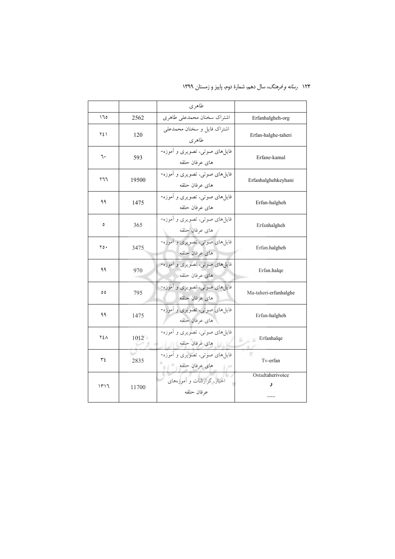|      |       | طاهری                                                 |                             |
|------|-------|-------------------------------------------------------|-----------------------------|
| ۱٦٥  | 2562  | اشتراك سخنان محمدعلى طاهري                            | Erfanhalgheh-org            |
| ٢٤١  | 120   | اشتراک فایل و سخنان محمدعلی<br>طاهري                  | Erfan-halghe-taheri         |
| ٦.   | 593   | فایلهای صوتی، تصویری و آموزه-<br>های عرفان حلقه       | Erfane-kamal                |
| ۲٦٦  | 19500 | فایلهای صوتی، تصویری و آموزه-<br>های عرفان حلقه       | Erfanhalghehkeyhani         |
| ۹۹   | 1475  | فایلمای صوتی، تصویری و آموزه-<br>های عرفان حلقه       | Erfan-halgheh               |
| ٥    | 365   | فایلهای صوتی، تصویری و آموزه-<br>های عرفان حلقه       | Erfanhalgheh                |
| ۲٥٠  | 3475  | فایلهای صوتی، تصویری و آموزه-<br>های عرفان حلقه       | Erfan.halgheh               |
| ۹۹   | 970   | فایلهای صوتی، تصویری و آموزه-<br>های عرفان حلقه       | Erfan.halqe                 |
| ٥٥   | 795   | فایلهای صوتی، تصویری و آموزه-<br>های عرفان حلقه       | Ma-taheri-erfanhalghe       |
| ۹۹   | 1475  | فايلهاي صوتي، تصويري و آموزه-<br>های عرفان حلقه       | Erfan-halgheh               |
| ٢٤٨  | 1012  | فایلهای صوتی، تصویری و آموزه-<br>های عرفان حلقه است ا | Erfanhalqe<br>$h \supseteq$ |
| ٣٤   | 2835  | فایلهای صوتی، تصویری و آموزه-<br>های عرفان حلقه       | Tv-erfan                    |
| ۱۳۱٦ | 11700 | اخبار، گزارشات و آموزههای<br>عرفان حلقه               | Ostadtaherivoice<br>و       |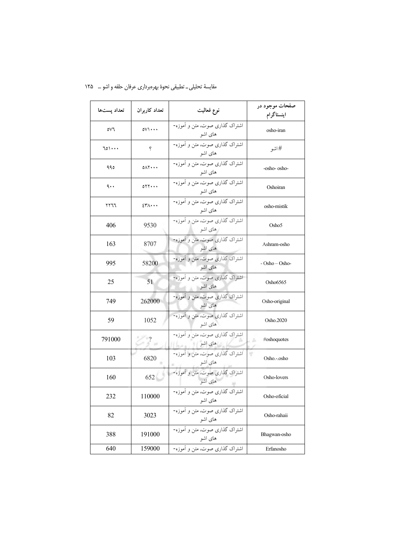| تعداد پستها | تعداد كاربران              | نوع فعاليت                                | صفحات موجود در<br>اينستاگرام |
|-------------|----------------------------|-------------------------------------------|------------------------------|
| ٥V٦         | $0 \vee \cdot \cdot \cdot$ | اشتراک گذاری صوت، متن و آموزه-<br>های اشو | osho-iran                    |
| 701         | ę                          | اشتراک گذاری صوت، متن و آموزه-<br>های اشو | # اشو                        |
| ۹۹٥         | $0 \wedge \Upsilon \cdots$ | اشتراک گذاری صوت، متن و آموزه-<br>های اشو | -osho- osho-                 |
| ٩.,         | $0YY \cdots$               | اشتراک گذاری صوت، متن و آموزه-<br>های اشو | Oshoiran                     |
| ۲۲٦٦        | $2\mathsf{r}\wedge\cdots$  | اشتراک گذاری صوت، متن و آموزه-<br>های اشو | osho-mistik                  |
| 406         | 9530                       | اشتراک گذاری صوت، متن و آموزه-<br>های اشو | Osho5                        |
| 163         | 8707                       | اشتراک گذاری صوت، متن و آموزه-<br>های اشو | Ashram-osho                  |
| 995         | 58200                      | اشتراک گذاری صوت، متن و آموزه-<br>های اشو | - Osho – Osho-               |
| 25          | 51                         | اشتراک گذاری صوت، متن و آموزه-<br>های اشو | Osho6565                     |
| 749         | 262000                     | اشتراک گذاری صوت، متن و آموزه-<br>های اشو | Osho-original                |
| 59          | 1052                       | اشتراک گذاری صوت، متن و آموزه-<br>های اشو | Osho.2020                    |
| 791000      | $\overline{2}$             | اشتراک گذاری صوت، متن و آموزه-<br>های اشو | #oshoquotes<br>÷             |
| 103         | 6820                       | اشتراک گذاری صوت، متن و آموزه-<br>های اشو | Osho.-.osho                  |
| 160         | 652                        | اشتراک گذاری صوت، متن و آموزه-<br>های اشو | Osho-lovers                  |
| 232         | 110000                     | اشتراک گذاری صوت، متن و آموزه-<br>های اشو | Osho-oficial                 |
| 82          | 3023                       | اشتراک گذاری صوت، متن و آموزه-<br>های اشو | Osho-rahaii                  |
| 388         | 191000                     | اشتراک گذاری صوت، متن و آموزه-<br>های اشو | Bhagwan-osho                 |
| 640         | 159000                     | اشتراک گذاری صوت، متن و آموزه-            | Erfanosho                    |

مقایسهٔ تحلیلی ــ تطبیقی نحوهٔ بهرهبرداری عرفان حلقه و اشو … ۱۲۵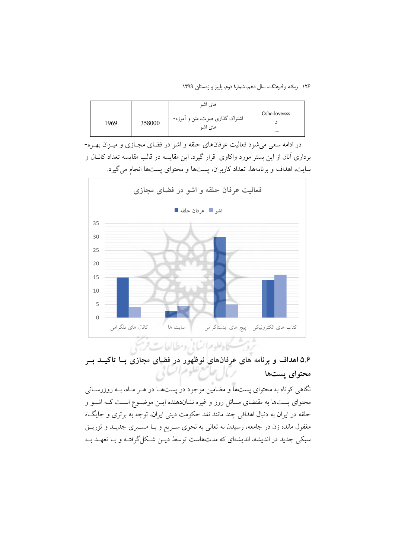۱۲۶ ر*سانه و فرهنگ،* سال دهم، شمارهٔ دوم، پاییز و زمستان ۱۳۹۹

|      |        | های اشو                                   |               |
|------|--------|-------------------------------------------|---------------|
|      |        |                                           | Osho-loversss |
| 1969 | 358000 | اشتراک گذاری صوت، متن و آموزه-<br>های اشو |               |
|      |        |                                           |               |

در ادامه سعی می شود فعالیت عرفانهای حلقه و اشو در فضای مجــازی و میــزان بهــره-برداری آنان از این بستر مورد واکاوی ً قرار گیرد. این مقایسه در قالب مقایسه تعداد کانـال و سايت، اهداف و برنامهها، تعداد كاربران، پستها و محتواي پستها انجام مي گيرد.



۵.۶ اهداف و برنامه های عرفانهای نوظهور در فضای مجازی بـا تاکیــد بــر محتواي يستها

.<br>نگاهی کوتاه به محتوای یستها و مضامین موجود در یستهـا در هــر مــاه، بــه روزرســانی محتوای پستها به مقتضای مسائل روز و غیره نشاندهنده ایــن موضــوع اســت کــه اشــو و حلقه در ایران به دنبال اهدافی چند مانند نقد حکومت دینی ایران، توجه به برتری و جایگاه مغفول مانده زن در جامعه، رسیدن به تعالی به نحوی سـریع و بـا مسـیری جدیـد و تزریــق سبکی جدید در اندیشه، اندیشهای که مدتهاست توسط دیـن شـکل گرفتـه و بـا تعهـد بـه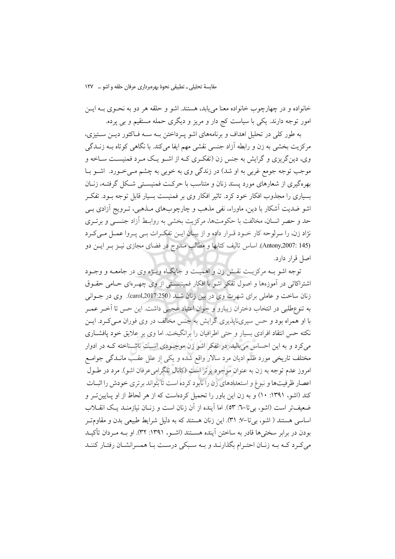مقايسة تحليلي \_ تطبيقي نحوة بهرهبرداري عرفان حلقه واشو … \_ ١٢٧

خانواده و در چهارچوب خانواده معنا مي يابد، هستند. اشو و حلقه هر دو به نحــوي بــه ايــن امور توجه دارند. یکی با سیاست کج دار و مریز و دیگری حمله مستقیم و بی پرده.

به طور کلی در تحلیل اهداف و برنامههای اشو په داختن بـه سـه فـاکتور ديــن سـتيزي، مرکزیت بخشی به زن و رابطه آزاد جنسی نقشی مهم ایفا می کند. با نگاهی کو تاه بــه زنــدگی وي، دينگريزي و گرايش به جنس زن (تفكري كـه از اشــو يــک مــرد فمنيســت ســاخه و موجب توجه جومع غربي به او شد) در زندگي وي به خوبي به چشم مـي خــورد. اشــو بــا بهرهگیری از شعارهای مورد پسند زنان و متناسب با حرکت فمنیسـتی شـکل گرفتـه، زنـان بسیاری را مجذوب افکار خود کرد. تاثیر افکار وی بر فمنیست بسیار قابل توجه بــود. تفکــر اشو ضدیت اَشکار با دین، ماوراء، نفی مذهب و چارچوبهای مـذهبی، تـرویج اَزادی بـی حد و حصر انسان، مخالفت با حکومتها، مرکزیت بخشی به روابـط آزاد جنســی و برتــری نژاد زن، را سرلوحه كار خـود قـرار داده و از بيـان ايـن تفكـرات بـي پـروا عمـل مـيكـرد (Antony,2007: 145). اساس تاليف كتابها و مطالب مندرج در فضاى مجازى نيـز بـر ايـن دو اصل قرار دارد.

توجه اشو بـه مرکزیـت نقـش زن و اهمیـت و جایگـاه ویـژه وی در جامعـه و وجـود اشتراکاتی در آموزهها و اصول تفکر اشو با افکار فمینیستی از وی چهـرهای حـامی حقـوق زنان ساخت و عاملي براي شهرت وي در بين زنان شـد (carol,2017:250). وي در جــواني به تنوعطلبی در انتخاب دختران زیبارو و جوان اعتیاد عجیبی داشت. این حس تا آخـر عمـر با او همراه بود و حس سیریناپذیری گرایش به جنس مخالف در وی فوران مـی کـرد. ایــن نکته حس انتقاد افرادی بسیار و حتی اطرافیان را برانگیخت. اما وی بر علایق خود پافشــاری می کرد و به این احساس می بالید. در تفکر اشو زن موجـودی اسـت ناشـناخته کـه در ادوار مختلف تاریخی مورد ظلم ادیان مرد سالار واقع شده و یکی از علل عقب مانــدگی جوامــع امروز عدم توجه به زن به عنوان موجود برتر است (كانال تلگرامىعرفان اشو). مرد در طـول اعصار ظرفيتها و نبوغ و استعدادهاي زن را نابود كرده است تا بتواند برتري خودش را اثبـات کند (اشو، ۱۳۹۱: ۱۰) و به زن این باور را تحمیل کردهاست که از هر لحاظ از او پـایینتر و ضعيفتر است (اشو، بي تا–٦: ٥٣). اما آينده از آن زنان است و زنــان نيازمنــد يــک انقـــلاب اساسی هستند ( اشو، بی تا–۷۰ ـ ۳۱). این زنان هستند که به دلیل شرایط طبیعی بدن و مقاومت بودن در برابر سختی ها قادر به ساختن آینده هسـتند (اشـو، ۱۳۹۱: ۳۲). او بــه مـردان تأکیــد می کرد کـه بـه زنـان احتـرام بگذارنـد و بـه سـبکی درسـت بـا همسرانشـان رفتـار کننـد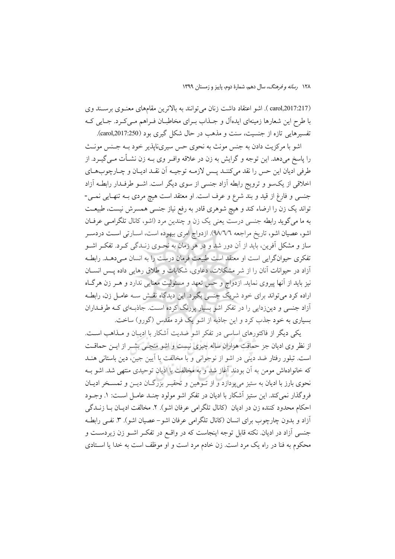(carol,2017:217 ). اشو اعتقاد داشت زنان می توانند به بالاترین مقامهای معنـوی برسـند وی با طرح این شعارها زمینهای ایدهآل و جـذاب بـرای مخاطبـان فـراهم مـیکـرد. جـایی کـه تفسیرهایی تازه از جنسیت، سنت و مذهب در حال شکل گیری بود (carol,2017:250).

اشو با مرکزیت دادن به جنس مونث به نحوی حس سیریناپذیر خود بـه جـنس مونـث را پاسخ میدهد. این توجه و گرایش به زن در علاقه وافـر وی بــه زن نشــأت مــیگیــرد. از طرفي اديان اين حس را نقد مي كننـد يـس لازمـه توجيـه أن نقـد اديـان و چـارچوبهـاي اخلاقی از یکسو و ترویج رابطه آزاد جنسی از سوی دیگر است. اشـو طرفـدار رابطـه آزاد جنسي و فارغ از قيد و بند شرع و عرف است. او معتقد است هيچ مردي بـه تنهـايي نمـي-تواند یک زن را ارضاء کند و هیچ شوهری قادر به رفع نیاز جنسی همسرش نیست، طبیعـت به ما می گوید رابطه جنسی درست یعنی یک زن و چندین مرد (اشو، کانال تلگرامبی عرفان اشو، عصیان اشو، تاریخ مراجعه ٩٨/٦/٦). ازدواج امري بيهوده است، اسـارتي اسـت دردسـر ساز و مشکل آفرین، باید از آن دور شد و در هر زمان به نحـوی زنــدگی کــرد. تفکــر اشــو تفکری حیوانگرایی است او معتقد است طبیعت فرمان درست را به انسان مـیدهــد. رابطـه آزاد در حیوانات آنان را از شر مشکلات، دعاوی، شکایات و طلاق رهایی داده پس انسان نیز باید از آنها پیروی نماید. ازدواج و حس تعهد و مسئولیت معنایی ندارد و هـر زن هرگـاه اراده کرد میتواند برای خود شریک جنسی بگیرد. این دیدگاه نقـش ســه عامــل زن، رابطــه آزاد جنسی و دینزدایی را در تفکر اشو بسیار پررنگ کرده است. جاذبهای کـه طرفـداران بسیاری به خود جذب کرد و این جاذبه از اشو یک فرد مقدس (گورو) ساخت.

یکی دیگر از فاکتورهای اساسی در تفکر اشو ضدیت آشکار با ادیبان و مـذاهب اسـت. از نظر وی ادیان جز حماقت هزاران ساله چیزی نیست و اشو منجـی بشـر از ایــن حماقــت است. تبلور رفتار ضد دینی در اشو از نوجوانی و با مخالفت با آیین جین، دین باستانی هنـد که خانوادهاش مومن به آن بودند آغاز شد و به مخالفت با ادیان توحیدی منتهی شد. اشو بــه نحوی بارز با ادیان به ستیز می پردازد و از تـوهین و تحقیـر بزرگـان دیـن و تمسـخر ادیـان فروگذار نمي كند. اين ستيز آشكار با اديان در تفكر اشو مولود چنـد عامـل اسـت: ١. وجــود احكام محدود كننده زن در اديان (كانال تلگرامي عرفان اشو). ٢. مخالفت اديـان بـا زنــدگي آزاد و بدون چارچوب برای انسان (کانال تلگرامی عرفان اشو–عصیان اشو). ۳. نفـی رابطـه جنسی آزاد در ادیان. نکته قابل توجه اینجاست که در واقع در تفکـر اشـو زن زیردسـت و محکوم به فنا در راه یک مرد است. زن خادم مرد است و او موظف است به خدا یا استادی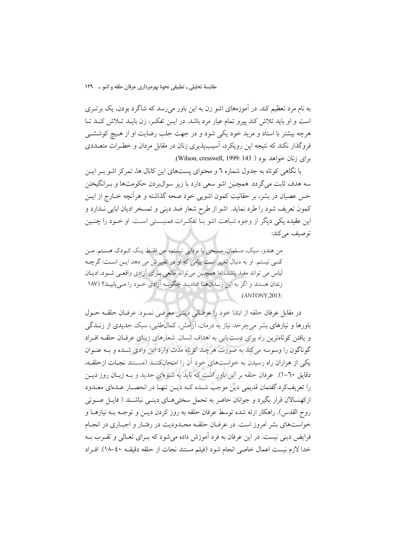به نام مرد تعظیم کند. در آموزههای اشو زن به این باور می رسد که شاگرد بودن، یک بر تــری است و او باید تلاش کند پیرو تمام عیار مرد باشد. در ایــن تفکــر، زن بایــد تــلاش کنــد تــا هرچه بیشتر با استاد و مرید خود یکی شود و در جهت جلب رضایت او از هـیچ کوششــی فروگذار نکند که نتیجه این رویکرد، آسیبیذیری زنان در مقابل مردان و خطـرات متعــددی برای زنان خواهد بود ( Wilson, cresswell, 1999: 143).

با نگاهی کو تاه به جدول شماره ٦ و محتوای پستهای این کانال ها، تمرکز اشو بـر ایـن سه هدف ثابت مي گردد. همچنين اشو سعي دارد با زير سوالبردن حکومتها و بـرانگيختن حس عصیان در بشر، بر حقانیت کمون اشویی خود صحه گذاشته و هرآنچه خــارج از ایــن كمون تعريف شود را طرد نمايد. اشو از طرح شعار ضد ديني و تمسخر اديان ابايي نــدارد و اين عقيده يكي ديگر از وجوه شباهت اشو بــا تفكـرات فمنيســتي اســت. او خــود را چنــين توصيف مي كند:

من هندو، سيک، مسلمان، مسيحي يا بودايي نيستم، من فقط يـک کـودک هســتم. مـن کسی نیستم. او به دنبال تغییر است پیامی که او در تغییرش می دهد ایــن اســت: گرچــه لباس مي تواند مفيد باشد، اما همچنين مي تواند مانعي بـراي آزادي واقعـي شـود، اديـان زندان هستند و اگر به این زنـدانهـا افتادیـد چگونـه آزادي خـود را مـي یابيـد؟ (١٨٧  $(ANTONY.2013)$ 

در مقابل عرفان حلقه از ابتدا خود را عرفـاني دينـي معرفـي نمـود. عرفـان حلقــه حــول باورها و نیازهای بشر می چرخد نیاز به درمان، آرامش، کمالطلبی، سبک جدیدی از زنــدگی و بافتن کو تاوترین راه پرای دست بایی به اهداف انسان. شعارهای زبیای عرفیان حلقیه افیراد گوناگون را وسوسه می کند به صورت هرچند کوتاه مدت وارد این وادی شـده و بــه عنــوان یکی از هزاران راه رسیدن به خواستهای خود آن را امتحانکنند (مستند نجبات ازحلقه، دقایق ٦٠-١). عرفان حلقه بر این باور است که باید به شیوهای جدید و بـه زبـان روز دیــن را تعریفکرد.گفتمان قدیمی دین موجب شـده کـه دیــن تنهـا در انحصــار عـدهای معـدود ازکهنسالان قرار بگیرد و جوانان حاضر به تحمل سختی هـای دینــی نباشــند ( فایــل صــوتی روح القدس). راهکار ارئه شده توسط عرفان حلقه به روز کردن دیــن و توجــه بــه نیازهــا و خواستهای بشر امروز است. در عرفـان حلقـه محـدودیت در رفتـار و اجبـاری در انجـام فرايض ديني نيست. در اين عرفان به فرد آموزش داده مي شود كه بـراي تعــالي و تقــرب بــه خدا لازم نيست اعمال خاصي انجام شود (فيلم مستند نجات از حلقه دقيقـه ٤٠-١٨). افـراد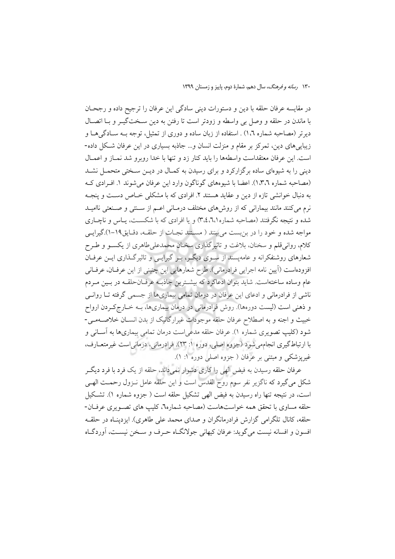در مقایسه عرفان حلقه با دین و دستورات دینی سادگی این عرفان را ترجیح داده و رجحان با ماندن در حلقه و وصل بی واسطه و زودتر است تا رفتن به دین سـختگیــر و بــا اتصــال دیرتر (مصاحبه شماره ۱،۲) . استفاده از زبان ساده و دوری از تمثیل، توجه بـه سـادگی۵هـا و زیبایی های دین، تمرکز بر مقام و منزلت انسان و… جاذبه بسیاری در این عرفان شکل داده-است. این عرفان معتقداست واسطهها را باید کنار زد و تنها با خدا روبرو شد نمـاز و اعمـال دینی را به شیوهای ساده برگزارکرد و برای رسیدن به کمـال در دیــن سـختی متحمــل نشــد (مصاحبه شماره ١،٣،٦). اعضا با شيوههاي گوناگون وارد اين عرفان مي شوند ١. افـرادي كـه به دنبال خوانشی تازه از دین و عقاید هستند ۲. افرادی که با مشکلی خـاص دسـت و پنجـه نرم میکنند مانند بیمارانی که از روشهای مختلف درمـانی اعـم از سـنتی و صـنعتی ناامیـد شده و نتیجه نگرفتند (مصاحبه شماره۲،۲،۱م) و یا افرادی که با شکسـت، پـاس و ناچـاری مواجه شده و خود را در بن بست مي بينند ( مسـتند نجـات از حلقـه، دقـايق١٩-١).گيرايـي کلام، روانیقلم و سخنان، بلاغت و تاثیرگذاری سخنان محمدعلیطاهری از یکسـو و طـرح شعارهای روشنفکرانه و عامهیسند از سـوی دیگـر، بـر گیرایـی و تاثیر گـذاری ایــن عرفــان افزودهاست (آيين نامه اجرايي فرادرماني). طرح شعارهايي اين چنيني از اين عرفـان، عرفـاني عام وساده ساختهاست. شاید بتوان ادعاکرد که بیشــترین جاذبــه عرفــانحلقــه در بــین مــردم ناشی از فرادرمانی و ادعای این عرفان در درمان تمامی بیماریها از جسمی گرفته تــا روانــی و ذهنی است (لیست دورهها). روش فرادرمانی در درمان بیماریها، بـه خـارج کـردن ارواح خبيث و اجنه و به اصطلاح عرفان حلقه موجودات غيرارگانيک از بدن انسـان خلاصـهمـي-شود (کلیپ تصویری شماره ۱). عرفان حلقه مدعی است درمان تمامی بیماریها به آسـانی و با ارتباط گیری انجامهی شود (جزوه اصلی، دوره ۱: ۲۳). فرادرمانی، درمانی است غیرمتعــارف، غیریزشکی و مبتنی بر عرفان ( جزوه اصلی دوره ۱: ۱).

عرفان حلقه رسیدن به فیض الهی را کاری دشوار نمی داند، حلقه از یک فرد با فرد دیگــر شکل می گیرد که ناگزیر نفر سوم روح القدس است و این حلقه عامل نـزول رحمــت الهـی است، در نتیجه تنها راه رسیدن به فیض الهی تشکیل حلقه است ( جزوه شماره ۱). تشکیل حلقه مساوي با تحقق همه خواستهاست (مصاحبه شماره٦، كليب هاي تصـويري عرفــان-حلقه، کانال تلگرامی گزارش فرادرمانگران و صدای محمد علی طاهری). ایزدپنـاه در حلقــه افسون و افسانه نيست مي گويد: عرفان كيهاني جولانگIه حـرف و سـخن نيســت، آوردگــاه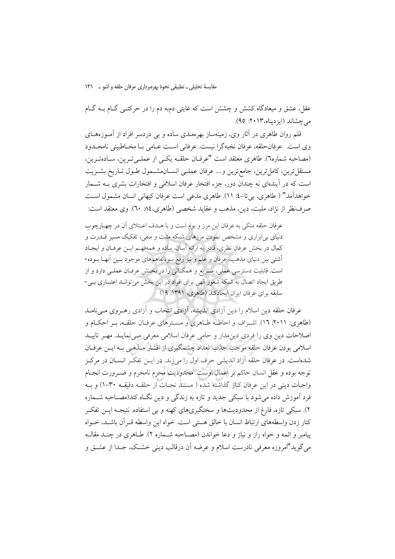مقایسهٔ تحلیلی ـ تطبیقی نحوهٔ بهرهبرداری عرفان حلقه و اشو … ۱۳۱

عقل، عشق و میعادگاه کشش و چشش است که غایتی دم؛ه دم را در حرکتـبی گــام بــه گــام مرحشاند (ايزديناه، ٢٠١٣: ٩٥).

قلم روان طاهری در آثار وی، زمینهساز بهرهمندی ساده و بی دردسر افراد از آمــوزههــای وي است. عرفانحلقه، عرفان نخبهگرا نيست. عرفاني است عـامي بـا مخـاطبيني نامحـدود (مصاحبه شماره٦). طاهري معتقد است "عرفـان حلقـه يكـي از عملـيتـرين، سـادهتـرين، مستقل ترين، كامل ترين، جامع ترين و… عرفان عملـي انســان.شــمول طــول تــاريخ بشــريت است که در آیندهای نه چندان دور، جزء افتخار عرفان اسلامی و افتخارات بشری بــه شــمار خواهدآمد" ( طاهري، بي تا-٤: ١١). طاهري مدعى است عرفان كيهاني انسان مشمول است صرفنظر از نژاد، ملیت، دین، مذهب و عقاید شخصی (طاهری،٨٤ -٦٠). وی معتقد است:

عرفان حلقه متكي به عرفان اين مرز و بوم است و با هــدف اعــتلاي آن در چهــارچوب دنیای بی ابزاری و مشخص نمودن مرزهای شبکه مثبت و منفی، تفکیک مسیر قــدرت و كمال در بخش عرفان نظري، قادر به ارائه أسان، ساده و همهفهـم ايــن عرفــان و ايجــاد أشتى بين دنياى مذهب، عرفان و علم و نيز رفع سوءتفاهمهاى موجود بـين أنهـا بــوده-است. قابلیت دسترسی عملی، سـریع و همگـانی را در بخـش عرفـان عملـی دارد و از طریق ایجاد اتصال به شبکه شعور الهی برای افراد در این بخش می تواند اعتباری بـی-سابقه براي عرفان ايران ايجادكند (طاهري، ١٣٩١: ١٩)

عرفان حلقه دین اسلام را دین آزادی اندیشه، آزادی انتخاب و آزادی رهـروی مـیiملـد (طاهري: ٢٠١١: ١٦). اشـراف و احاطـه طـاهري و مسـترهاي عرفـان حلقـه، بـر احكـام و اصلاحات دین وی را فردی دینِمدار و حامی عرفان اسلامی معرفی می نمایـد. مهـر تاییـد اسلامی بودن عرفان حلقه موجب جذب تعداد چشمگیری از اقشار مـذهبی بــه ایــن عرفــان شدهاست. در عرفان حلقه آزاد اندیشی حرف اول را میزند. در ایــن تفکـر انســان در مرکــز توجه بوده و عقل انسان حاکم بر اعمال اوست. محدودیت محرم نامحرم و ضـرورت انجــام واجبات ديني در اين عرفان كنار گذاشته شده ( مستند نجـات از حلقـه دقيقـه ٣٠-١) و بـه فرد آموزش داده می شود با سبکی جدید و تازه به زندگی و دین نگIه کند(مصـاحبه شــماره ۲). سبکی تازه، فارغ از محدودیتها و سختگیریهای کهنه و بی استفاده. نتیجـه ایــن تفکـر كنار زدن وإسطههاي ارتباط انسان با خالق هستي است. خواه اين وإسطه قبر آن باشــد، خــواه پیامبر و ائمه و خواه راز و نیاز و دعا خواندن (مصـاحبه شـماره ۲). طـاهری در چنــد مقالــه می گوید"امروزه معرفی نادرست اسلام و عرضه آن درقالب دینی خشـک، جـدا از عشــق و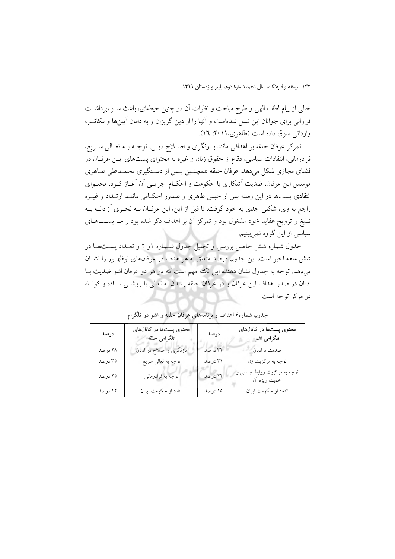خالي از پيام لطف الهي و طرح مباحث و نظرات آن در چنين حيطهاي، باعث سـوءبرداشـت فراوانی برای جوانان این نسل شدهاست و آنها را از دین گریزان و به دامان آیینها و مکاتب وارداتی سوق داده است (طاهری، ۲۰۱۱: ۱۲).

تمركز عرفان حلقه بر اهدافي مانند بـازنگري و اصـلاح ديـن، توجـه بـه تعـالي سـريع، فرادرمانی، انتقادات سیاسی، دقاع از حقوق زنان و غیره به محتوای پستهای ایــن عرفــان در فضاي مجازي شكل مي دهد. عرفان حلقه همچنـين يـس از دسـتگيري محمـدعلي طـاهري موسس این عرفان، ضدیت آشکاری با حکومت و احکـام اجرایـی آن آغـاز کـرد. محتـوای انتقادی پستها در این زمینه پس از حبس طاهری و صدور احکـامی ماننــد ارتــداد و غیــره راجع به وي، شكلي جدي به خود گرفت. تا قبل از اين، اين عرفــان بــه نحــوي آزادانــه بــه تبلیغ و ترویج عقاید خود مشغول بود و تمرکز آن بر اهداف ذکر شده بود و مـا پســتهــای سیاسی از این گروه نمیبینیم.

جدول شماره شش حاصل بررسی و تحلیل جدول شـماره ۱و ۲ و تعـداد یسـتهـا در شش ماهه اخیر است. این جدول درصد متعلق به هر هدف در عرفانهای نوظهـور را نشــان میدهد. توجه به جدول نشان دهنده این نکته مهم است که در هر دو عرفان اشو ضدیت بـا اديان در صدر اهداف اين عرفان و در عرفان حلقه رسدن به تعالى با روشـى سـاده و كوتـاه در مرکز توجه است.

| درصد    | محتوی پستها در کانالهای<br>تلگرامی حلقه | درصد    | محتوی پستها در کانالهای<br>تلگرامی اشو        |
|---------|-----------------------------------------|---------|-----------------------------------------------|
| ۲۸ درصد | بازنگری و اصلاح در ادیان                | ٣٢ درصد | ضديت با اديان                                 |
| ۳۵ درصد | توجه به تعالى سريع                      | ۳۱ درصد | توجه به مركزيت زن                             |
| ۲۵ درصد | توجه به فرادرماني                       | ٢٢ درصد | توجه به مرکزیت روابط جنسی و<br>اهميت ويژه اَن |
| ۱۲ درصد | انتقاد از حکومت ایران                   | ۱۵ درصد | انتقاد از حکومت ایران                         |

جدول شماره۶ اهداف و برنامههای عرفان حلقه و اشو در تلگرام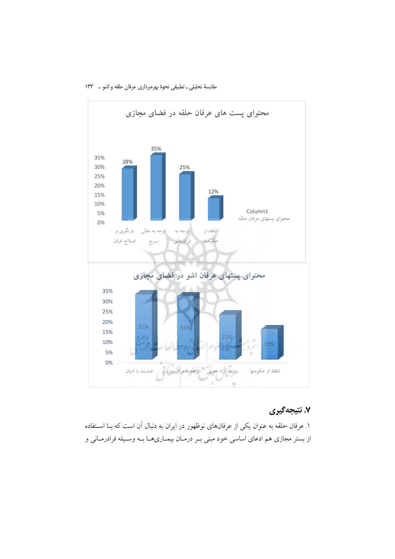

مقايسة تحليلي \_ تطبيقي نحوة بهرهبرداري عرفان حلقه واشو ... ١٣٣

## ۷. نتیجه گیری

۱. عرفان حلقه به عنوان یکی از عرفانهای نوظهور در ایران به دنبال آن است که بــا اســتفاده از بستر مجازی هم ادعای اساسی خود مبنی بـر درمـان بیمـاریهـا بـه وسـیله فرادرمـانی و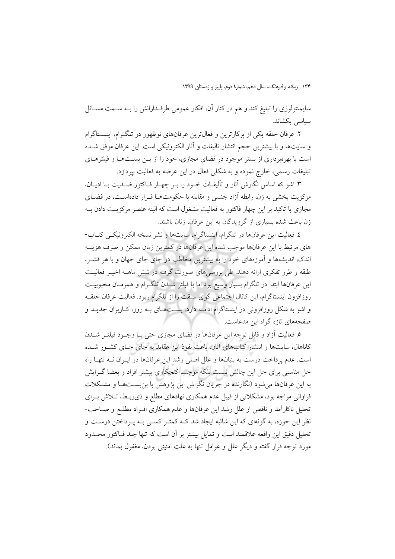سایمنتولوژی را تبلیغ کند و هم در کنار آن، افکار عمومی طرفـدارانش را بــه ســمت مســائل سیاسی بکشاند.

۲. عرفان حلقه یکی از یرکارترین و فعال¤رین عرفانهای نوظهور در تلگرام، اینســتاگرام و سايتها و با بيشترين حجم انتشار تاليفات و آثار الكترونيكي است. اين عرفان موفق شــده است با بهرهبرداری از بستر موجود در فضای مجازی، خود را از بـن بسـتهـا و فیلترهـای تبليغات رسمي، خارج نموده و به شكلي فعال در اين عرصه به فعاليت بيردازد.

۳. اشو که اساس نگارش آثار و تألیفـات خــود را بــر چهــار فــاکتور ضــدیت بــا ادیــان، مرکزیت بخشی به زن، رابطه آزاد جنسی و مقابله با حکومتهـا قـرار دادهاســت، در فضــای مجازی با تاکید بر این چهار فاکتور به فعالیت مشغول است که البته عنصر مرکزیــت دادن بــه زن باعث شده بسیاری از گرویدگان به این عرفان، زنان باشند.

٤. فعاليت اين عرفانها در تلگرام، اينستاگرام، سايتها و نشر نسخه الكترونيكي كتـاب-های مرتبط با این عرفانها موجب شده این عرفانها در کمترین زمان ممکن و صرف هزینـه اندک، اندیشهها و آموزههای خود را به بیشترین مخاطب در جای جای جهان و با هر قشـر، طبقه و طرز تفکری ارائه دهند. طی بررسی های صورت گرفته در شش ماهــه اخیــر فعالیــت این عرفانها ابتدا در تلگرام بسیار وسیع بود اما با فیلتر شــدن تلگــرام و همزمــان محبوبیــت روزافزون اینستاگرام، این کانال اجتماعی گوی سبقت را از تلگرام ربود. فعالیت عرفان حلقـه و اشو به شکل روزافزونی در اینستاگرام ادامـه دارد. پسـتهـای بـه روز، کـاربران جدیـد و صفحههای تازه گواه این مدعاست.

٥. فعاليت آزاد و قابل توجه اين عرفانها در فضاي مجازي حتى بـا وجـود فيلتـر شــدن کاناهال، سایتها و انتشار کتابهای آنان، باعث نفوذ این عقابد به جای جبای کشبور شیده است. عدم پرداخت درست به بنیانها و علل اصلی رشد این عرفانها در ایـران نــه تنهـا راه حل مناسبی برای حل این چالش نیست بلکه موجب کنجکاوی بیشتر افراد و بعضا گــرایش به این عرفانها میشود (نگارنده در جریان نگراش این پژوهش با بن بسـتهـا و مشـكلات فراوانی مواجه بود، مشکلاتی از قبیل عدم همکاری نهادهای مطلع و ذیربـط، تــلاش بــرای تحلیل ناکارآمد و ناقص از علل رشد این عرفانها و عدم همکاری افـراد مطلـع و صـاحب-نظر این حوزه، به گونهای که این شائبه ایجاد شد کـه کمتـر کســی بــه پــرداختن درســت و تحلیل دقیق این واقعه علاقمند است و تمایل بیشتر بر آن است که تنها چند فـاکتور محـدود مورد توجه قرار گفته و ديگر علل و عوامل تنها به علت امنيتي بودن، مغفول بماند).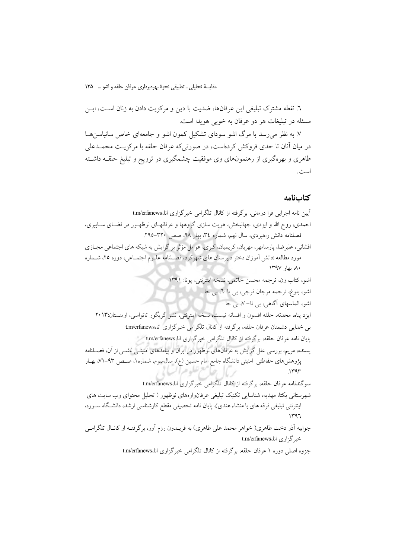مقايسة تحليلي \_ تطبيقي نحوة بهرهبرداري عرفان حلقه و اشو … ١٣٥

٦. نقطه مشترک تبلیغی این عرفانها، ضدیت با دین و مرکزیت دادن به زنان اســت، ایــن مسئله در تبلیغات هر دو عرفان به خوبی هویدا است.

۷. به نظر می رسد با مرگ اشو سودای تشکیل کمون اشو و جامعهای خاص سانیاسنها در میان آنان تا حدی فروکش کردهاست، در صورتیکه عرفان حلقه با مرکزیـت محمــدعلی طاهری و بهرهگیری از رهنمونهای وی موفقیت چشمگیری در ترویج و تبلیغ حلقــه داشــته است.

### كتابنامه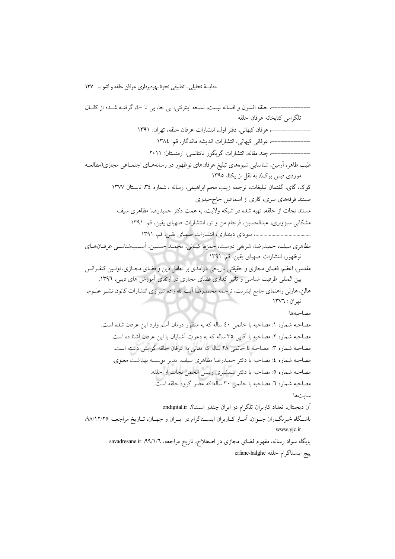مقایسهٔ تحلیلی ــ تطبیقی نحوهٔ بهرهبرداری عرفان حلقه و اشو … ۱۳۷

پایگاه سواد رسانه، مفهوم فضای مجازی در اصطلاح، تاریخ مراجعه، savadresane.ir .۹۹/۱/٦ پيج اينستاگرام حلقه erfane-halghe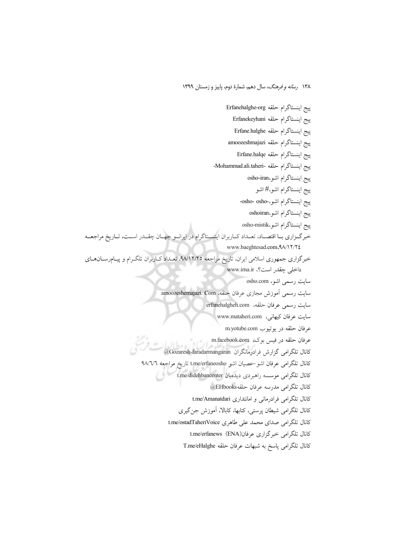ييج اينستاگرام حلقه Erfanehalghe-org بيج اينستاگرام حلقه Erfanekeyhani بيج اينستاگرام حلقه Erfane.halghe ييج اينستاگرام حلقه amoozeshmajazi پيج اينستاگرام حلقه Erfane.halqe بيج اينستاگرام حلقه -Mohammad.ali.taheri-بيج اينستاگرام اشو،osho-iran پيج اينستاگرام اشو،# اشو ييج اينستاگرام اشو،-osho- osho-بيج اينستاگرام اشو،oshoiran ييج اينستاگرام اشو،osho-mistik خبرگـزاري بـا اقتصـاد، تعـداد كـاربران اينســتاگرام در ايرانــو جهــان چقــدر اســت، تــاريخ مراجعــه www.baeghtesad.com<A/\\Y/Y{ خبرگزاری جمهوری اسلامی ایران، تاریخ مراجعه ۹۸/۱۲/۲۵، تعـداد کـاربران تلگـرام و پیـامرسـانهـای داخلی چقدر است؟، www.irna.ir سایت رسمی اشو، osho.com سايت رسمي آموزش مجازي عرفان حلقه، amoozeshemajazi. Com سايت رسمي عرفان حلقه، erfanehalgheh.com سايت عرفان كيهاني، www.mataheri.com عرفان حلقه در يوتيوب m.yotube.com عرفان حلقه در فيس بوك، m.facebook.com كانال تلگرامی گزارش فرادرمانگران Gozaresh-faradarmangaran@ كانال تلگرامی عرفان اشو حصيان اشو t.me/erfaneosho تاريخ مراجعه ٩٨/٦/٦ کانال تلگرامی موسسه راهبردی دیدهبان t.me/didehbancenter كانال تلگرامي مدرسه عرفان حلقه EHbooks@ كانال تلگرامي فرادرماني و امانتداري t.me/Amanatdari کانال تلگرامی شیطان پرستی، کتابها، کابالا، آموزش جنگیری كانال تلكرامي صداي محمد على طاهري t.me/ostadTaheriVoice كانال تلگرامي خبر گزاري عرفان(ENA) t.me/erfanews كانال تلكرامي ياسخ به شبهات عرفان حلقه T.me/eHalghe